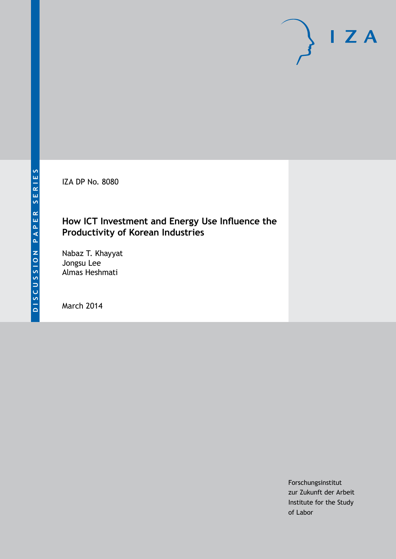IZA DP No. 8080

# **How ICT Investment and Energy Use Influence the Productivity of Korean Industries**

Nabaz T. Khayyat Jongsu Lee Almas Heshmati

March 2014

Forschungsinstitut zur Zukunft der Arbeit Institute for the Study of Labor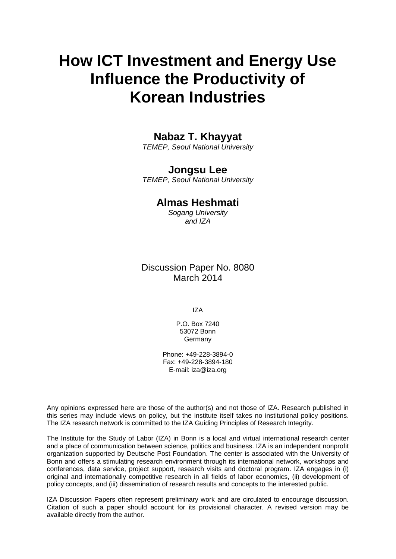# **How ICT Investment and Energy Use Influence the Productivity of Korean Industries**

# **Nabaz T. Khayyat**

*TEMEP, Seoul National University*

## **Jongsu Lee**

*TEMEP, Seoul National University*

# **Almas Heshmati**

*Sogang University and IZA*

## Discussion Paper No. 8080 March 2014

IZA

P.O. Box 7240 53072 Bonn Germany

Phone: +49-228-3894-0 Fax: +49-228-3894-180 E-mail: [iza@iza.org](mailto:iza@iza.org)

Any opinions expressed here are those of the author(s) and not those of IZA. Research published in this series may include views on policy, but the institute itself takes no institutional policy positions. The IZA research network is committed to the IZA Guiding Principles of Research Integrity.

The Institute for the Study of Labor (IZA) in Bonn is a local and virtual international research center and a place of communication between science, politics and business. IZA is an independent nonprofit organization supported by Deutsche Post Foundation. The center is associated with the University of Bonn and offers a stimulating research environment through its international network, workshops and conferences, data service, project support, research visits and doctoral program. IZA engages in (i) original and internationally competitive research in all fields of labor economics, (ii) development of policy concepts, and (iii) dissemination of research results and concepts to the interested public.

IZA Discussion Papers often represent preliminary work and are circulated to encourage discussion. Citation of such a paper should account for its provisional character. A revised version may be available directly from the author.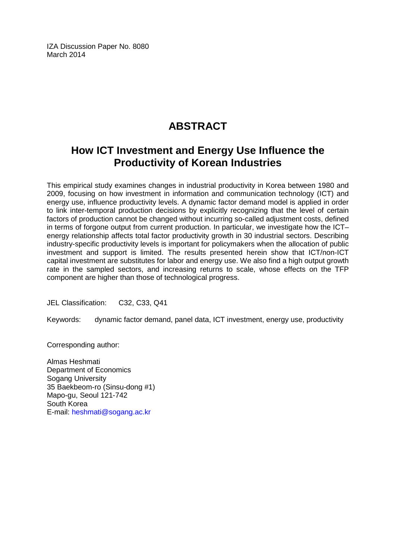IZA Discussion Paper No. 8080 March 2014

# **ABSTRACT**

# **How ICT Investment and Energy Use Influence the Productivity of Korean Industries**

This empirical study examines changes in industrial productivity in Korea between 1980 and 2009, focusing on how investment in information and communication technology (ICT) and energy use, influence productivity levels. A dynamic factor demand model is applied in order to link inter-temporal production decisions by explicitly recognizing that the level of certain factors of production cannot be changed without incurring so-called adjustment costs, defined in terms of forgone output from current production. In particular, we investigate how the ICT– energy relationship affects total factor productivity growth in 30 industrial sectors. Describing industry-specific productivity levels is important for policymakers when the allocation of public investment and support is limited. The results presented herein show that ICT/non-ICT capital investment are substitutes for labor and energy use. We also find a high output growth rate in the sampled sectors, and increasing returns to scale, whose effects on the TFP component are higher than those of technological progress.

JEL Classification: C32, C33, Q41

Keywords: dynamic factor demand, panel data, ICT investment, energy use, productivity

Corresponding author:

Almas Heshmati Department of Economics Sogang University 35 Baekbeom-ro (Sinsu-dong #1) Mapo-gu, Seoul 121-742 South Korea E-mail: [heshmati@sogang.ac.kr](mailto:heshmati@sogang.ac.kr)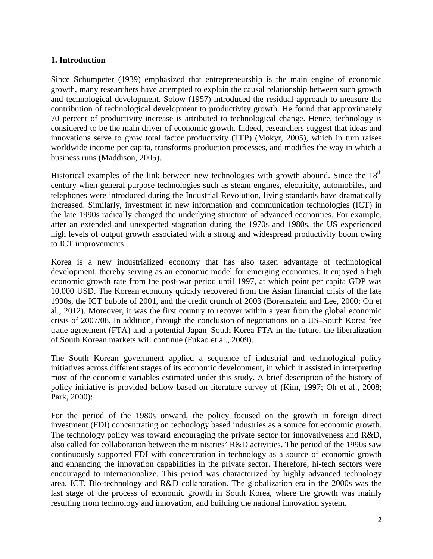## **1. Introduction**

Since [Schumpeter \(1939\)](#page-24-0) emphasized that entrepreneurship is the main engine of economic growth, many researchers have attempted to explain the causal relationship between such growth and technological development. [Solow \(1957\)](#page-24-1) introduced the residual approach to measure the contribution of technological development to productivity growth. He found that approximately 70 percent of productivity increase is attributed to technological change. Hence, technology is considered to be the main driver of economic growth. Indeed, researchers suggest that ideas and innovations serve to grow total factor productivity (TFP) [\(Mokyr, 2005\)](#page-22-0), which in turn raises worldwide income per capita, transforms production processes, and modifies the way in which a business runs [\(Maddison, 2005\)](#page-22-1).

Historical examples of the link between new technologies with growth abound. Since the  $18<sup>th</sup>$ century when general purpose technologies such as steam engines, electricity, automobiles, and telephones were introduced during the Industrial Revolution, living standards have dramatically increased. Similarly, investment in new information and communication technologies (ICT) in the late 1990s radically changed the underlying structure of advanced economies. For example, after an extended and unexpected stagnation during the 1970s and 1980s, the US experienced high levels of output growth associated with a strong and widespread productivity boom owing to ICT improvements.

Korea is a new industrialized economy that has also taken advantage of technological development, thereby serving as an economic model for emerging economies. It enjoyed a high economic growth rate from the post-war period until 1997, at which point per capita GDP was 10,000 USD. The Korean economy quickly recovered from the Asian financial crisis of the late 1990s, the ICT bubble of 2001, and the credit crunch of 2003 [\(Borensztein and Lee, 2000;](#page-21-0) [Oh et](#page-23-0)  [al., 2012\)](#page-23-0). Moreover, it was the first country to recover within a year from the global economic crisis of 2007/08. In addition, through the conclusion of negotiations on a US–South Korea free trade agreement (FTA) and a potential Japan–South Korea FTA in the future, the liberalization of South Korean markets will continue [\(Fukao et al., 2009\)](#page-21-1).

The South Korean government applied a sequence of industrial and technological policy initiatives across different stages of its economic development, in which it assisted in interpreting most of the economic variables estimated under this study. A brief description of the history of policy initiative is provided bellow based on literature survey of [\(Kim, 1997;](#page-22-2) [Oh et al., 2008;](#page-23-1) [Park, 2000\)](#page-23-2):

For the period of the 1980s onward, the policy focused on the growth in foreign direct investment (FDI) concentrating on technology based industries as a source for economic growth. The technology policy was toward encouraging the private sector for innovativeness and R&D, also called for collaboration between the ministries' R&D activities. The period of the 1990s saw continuously supported FDI with concentration in technology as a source of economic growth and enhancing the innovation capabilities in the private sector. Therefore, hi-tech sectors were encouraged to internationalize. This period was characterized by highly advanced technology area, ICT, Bio-technology and R&D collaboration. The globalization era in the 2000s was the last stage of the process of economic growth in South Korea, where the growth was mainly resulting from technology and innovation, and building the national innovation system.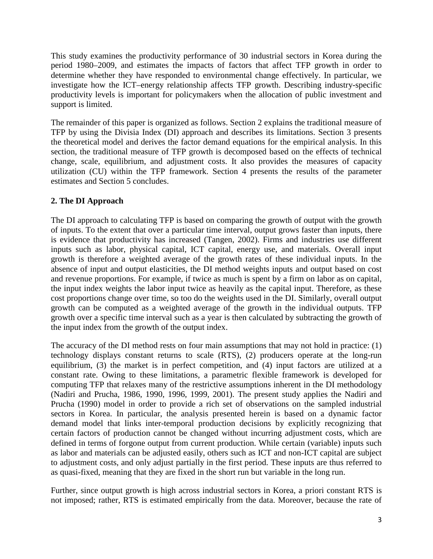This study examines the productivity performance of 30 industrial sectors in Korea during the period 1980–2009, and estimates the impacts of factors that affect TFP growth in order to determine whether they have responded to environmental change effectively. In particular, we investigate how the ICT–energy relationship affects TFP growth. Describing industry-specific productivity levels is important for policymakers when the allocation of public investment and support is limited.

The remainder of this paper is organized as follows. Section 2 explains the traditional measure of TFP by using the Divisia Index (DI) approach and describes its limitations. Section 3 presents the theoretical model and derives the factor demand equations for the empirical analysis. In this section, the traditional measure of TFP growth is decomposed based on the effects of technical change, scale, equilibrium, and adjustment costs. It also provides the measures of capacity utilization (CU) within the TFP framework. Section 4 presents the results of the parameter estimates and Section 5 concludes.

## **2. The DI Approach**

The DI approach to calculating TFP is based on comparing the growth of output with the growth of inputs. To the extent that over a particular time interval, output grows faster than inputs, there is evidence that productivity has increased [\(Tangen, 2002\)](#page-24-2). Firms and industries use different inputs such as labor, physical capital, ICT capital, energy use, and materials. Overall input growth is therefore a weighted average of the growth rates of these individual inputs. In the absence of input and output elasticities, the DI method weights inputs and output based on cost and revenue proportions. For example, if twice as much is spent by a firm on labor as on capital, the input index weights the labor input twice as heavily as the capital input. Therefore, as these cost proportions change over time, so too do the weights used in the DI. Similarly, overall output growth can be computed as a weighted average of the growth in the individual outputs. TFP growth over a specific time interval such as a year is then calculated by subtracting the growth of the input index from the growth of the output index.

The accuracy of the DI method rests on four main assumptions that may not hold in practice: (1) technology displays constant returns to scale (RTS), (2) producers operate at the long-run equilibrium, (3) the market is in perfect competition, and (4) input factors are utilized at a constant rate. Owing to these limitations, a parametric flexible framework is developed for computing TFP that relaxes many of the restrictive assumptions inherent in the DI methodology [\(Nadiri and Prucha, 1986,](#page-22-3) [1990,](#page-23-3) [1996,](#page-23-4) [1999,](#page-23-5) [2001\)](#page-23-6). The present study applies the [Nadiri and](#page-23-3)  Prucha (1990) model in order to provide a rich set of observations on the sampled industrial sectors in Korea. In particular, the analysis presented herein is based on a dynamic factor demand model that links inter-temporal production decisions by explicitly recognizing that certain factors of production cannot be changed without incurring adjustment costs, which are defined in terms of forgone output from current production. While certain (variable) inputs such as labor and materials can be adjusted easily, others such as ICT and non-ICT capital are subject to adjustment costs, and only adjust partially in the first period. These inputs are thus referred to as quasi-fixed, meaning that they are fixed in the short run but variable in the long run.

Further, since output growth is high across industrial sectors in Korea, a priori constant RTS is not imposed; rather, RTS is estimated empirically from the data. Moreover, because the rate of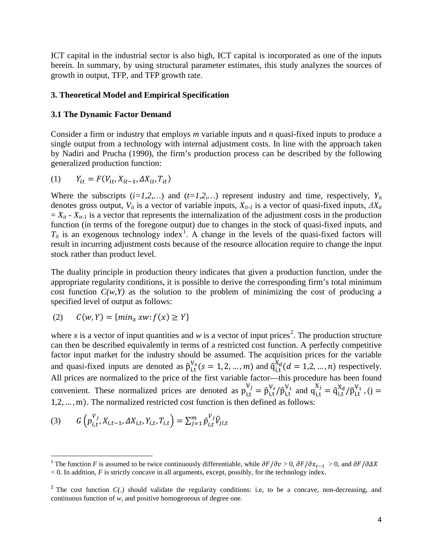ICT capital in the industrial sector is also high, ICT capital is incorporated as one of the inputs herein. In summary, by using structural parameter estimates, this study analyzes the sources of growth in output, TFP, and TFP growth rate.

#### **3. Theoretical Model and Empirical Specification**

#### **3.1 The Dynamic Factor Demand**

Consider a firm or industry that employs *m* variable inputs and *n* quasi-fixed inputs to produce a single output from a technology with internal adjustment costs. In line with the approach taken by [Nadiri and Prucha \(1990\),](#page-23-3) the firm's production process can be described by the following generalized production function:

$$
(1) \qquad Y_{it} = F(V_{it}, X_{it-1}, \Delta X_{it}, T_{it})
$$

Where the subscripts  $(i=1,2,...)$  and  $(t=1,2,...)$  represent industry and time, respectively,  $Y_{it}$ denotes gross output,  $V_{it}$  is a vector of variable inputs,  $X_{it-1}$  is a vector of quasi-fixed inputs,  $\Delta X_{it}$  $= X_{it} - X_{it-1}$  is a vector that represents the internalization of the adjustment costs in the production function (in terms of the foregone output) due to changes in the stock of quasi-fixed inputs, and  $T_{it}$  is an exogenous technology index<sup>1</sup>. A change in the levels of the quasi-fixed factors will result in incurring adjustment costs because of the resource allocation require to change the input stock rather than product level.

The duality principle in production theory indicates that given a production function, under the appropriate regularity conditions, it is possible to derive the corresponding firm's total minimum cost function  $C(w, Y)$  as the solution to the problem of minimizing the cost of producing a specified level of output as follows:

$$
(2) \qquad \mathcal{C}(w,Y)=\{min_{x}xw\colon f(x)\geq Y\}
$$

where x is a vector of input quantities and  $w$  is a vector of input prices<sup>[2](#page-5-0)</sup>. The production structure can then be described equivalently in terms of a restricted cost function. A perfectly competitive factor input market for the industry should be assumed. The acquisition prices for the variable and quasi-fixed inputs are denoted as  $\hat{p}_{i,t}^{V_s}(s = 1, 2, ..., m)$  and  $\hat{q}_{i,t}^{X_d}(d = 1, 2, ..., n)$  respectively. All prices are normalized to the price of the first variable factor—this procedure has been found convenient. These normalized prices are denoted as  $p_{i,t}^{V_j} = \hat{p}_{i,t}^{V_s} / \hat{p}_{i,t}^{V_1}$  and  $q_{i,t}^{X_j} = \hat{q}_{i,t}^{X_d} / \hat{p}_{i,t}^{V_1}$ , (j = 1,2, … , m). The normalized restricted cost function is then defined as follows:

(3) 
$$
G\left(p_{i,t}^{V_j}, X_{i,t-1}, \Delta X_{i,t}, Y_{i,t}, T_{i,t}\right) = \sum_{j=1}^m \hat{p}_{i,t}^{V_j} \hat{V}_{j,i,t}
$$

<span id="page-5-1"></span><sup>&</sup>lt;sup>1</sup> The function *F* is assumed to be twice continuously differentiable, while  $\partial F/\partial v > 0$ ,  $\partial F/\partial x_{t-1} > 0$ , and  $\partial F/\partial \Delta X$  $< 0$ . In addition, *F* is strictly concave in all arguments, except, possibly, for the technology index.

<span id="page-5-0"></span><sup>&</sup>lt;sup>2</sup> The cost function  $C(.)$  should validate the regularity conditions: i.e, to be a concave, non-decreasing, and continuous function of *w,* and positive homogeneous of degree one.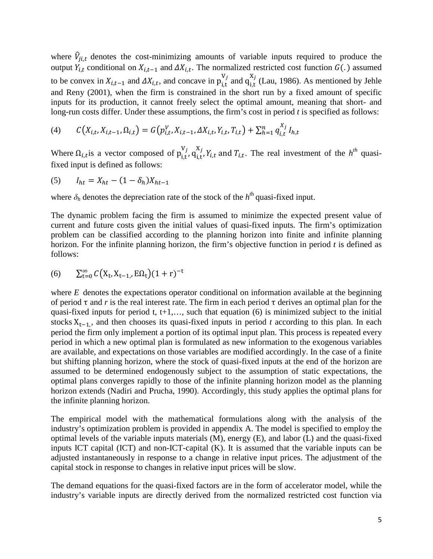where  $\hat{V}_{ji,t}$  denotes the cost-minimizing amounts of variable inputs required to produce the output  $Y_{i,t}$  conditional on  $X_{i,t-1}$  and  $\Delta X_{i,t}$ . The normalized restricted cost function  $G(.)$  assumed to be convex in  $X_{i,t-1}$  and  $\Delta X_{i,t}$ , and concave in  $p_{i,t}^{V_j}$  and  $q_{i,t}^{X_j}$  [\(Lau, 1986\)](#page-22-4). As mentioned by Jehle and Reny (2001), when the firm is constrained in the short run by a fixed amount of specific inputs for its production, it cannot freely select the optimal amount, meaning that short- and long-run costs differ. Under these assumptions, the firm's cost in period *t* is specified as follows:

(4) 
$$
C(X_{i,t}, X_{i,t-1}, \Omega_{i,t}) = G(p_{i,t}^V, X_{i,t-1}, \Delta X_{i,t}, Y_{i,t}, T_{i,t}) + \sum_{h=1}^n q_{i,t}^{X_j} I_{h,t}
$$

Where  $\Omega_{i,t}$  is a vector composed of  $p_{i,t}^{V_j}$ ,  $q_{i,t}^{X_j}$ ,  $Y_{i,t}$  and  $T_{i,t}$ . The real investment of the  $h^{th}$  quasifixed input is defined as follows:

(5) 
$$
I_{ht} = X_{ht} - (1 - \delta_h)X_{ht-1}
$$

where  $\delta_h$  denotes the depreciation rate of the stock of the  $h<sup>th</sup>$  quasi-fixed input.

The dynamic problem facing the firm is assumed to minimize the expected present value of current and future costs given the initial values of quasi-fixed inputs. The firm's optimization problem can be classified according to the planning horizon into finite and infinite planning horizon. For the infinite planning horizon, the firm's objective function in period *t* is defined as follows:

(6) 
$$
\sum_{t=0}^{\infty} C(X_t, X_{t-1}, E\Omega_t) (1+r)^{-t}
$$

where *E* denotes the expectations operator conditional on information available at the beginning of period  $\tau$  and *r* is the real interest rate. The firm in each period  $\tau$  derives an optimal plan for the quasi-fixed inputs for period t,  $t+1,...$ , such that equation (6) is minimized subject to the initial stocks X<sub>t−1</sub>, and then chooses its quasi-fixed inputs in period *t* according to this plan. In each period the firm only implement a portion of its optimal input plan. This process is repeated every period in which a new optimal plan is formulated as new information to the exogenous variables are available, and expectations on those variables are modified accordingly. In the case of a finite but shifting planning horizon, where the stock of quasi-fixed inputs at the end of the horizon are assumed to be determined endogenously subject to the assumption of static expectations, the optimal plans converges rapidly to those of the infinite planning horizon model as the planning horizon extends [\(Nadiri and Prucha, 1990\)](#page-23-3). Accordingly, this study applies the optimal plans for the infinite planning horizon.

The empirical model with the mathematical formulations along with the analysis of the industry's optimization problem is provided in appendix A. The model is specified to employ the optimal levels of the variable inputs materials (M), energy (E), and labor (L) and the quasi-fixed inputs ICT capital (ICT) and non-ICT-capital (K). It is assumed that the variable inputs can be adjusted instantaneously in response to a change in relative input prices. The adjustment of the capital stock in response to changes in relative input prices will be slow.

The demand equations for the quasi-fixed factors are in the form of accelerator model, while the industry's variable inputs are directly derived from the normalized restricted cost function via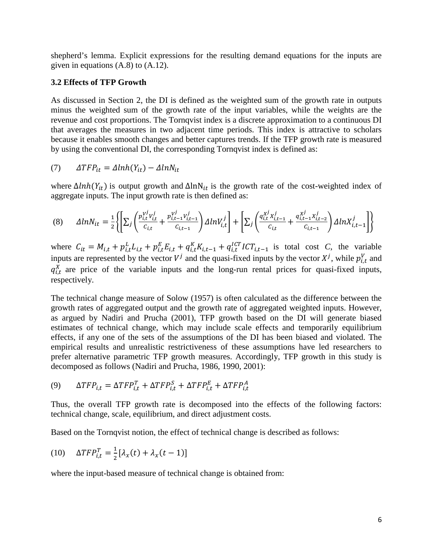shepherd's lemma. Explicit expressions for the resulting demand equations for the inputs are given in equations (A.8) to (A.12).

#### **3.2 Effects of TFP Growth**

As discussed in Section 2, the DI is defined as the weighted sum of the growth rate in outputs minus the weighted sum of the growth rate of the input variables, while the weights are the revenue and cost proportions. The Tornqvist index is a discrete approximation to a continuous DI that averages the measures in two adjacent time periods. This index is attractive to scholars because it enables smooth changes and better captures trends. If the TFP growth rate is measured by using the conventional DI, the corresponding Tornqvist index is defined as:

$$
(7) \qquad \Delta TFP_{it} = \Delta lnh(Y_{it}) - \Delta lnN_{it}
$$

where  $\Delta lnh(Y_{it})$  is output growth and  $\Delta lnN_{it}$  is the growth rate of the cost-weighted index of aggregate inputs. The input growth rate is then defined as:

$$
(8) \qquad \Delta ln N_{it} = \frac{1}{2} \left\{ \left[ \sum_{j} \left( \frac{p_{i,t}^{y^{j}} v_{i,t}^{j}}{c_{i,t}} + \frac{p_{i,t-1}^{y^{j}} v_{i,t-1}^{j}}{c_{i,t-1}} \right) \Delta ln V_{i,t}^{j} \right] + \left[ \sum_{j} \left( \frac{q_{i,t}^{x^{j}} x_{i,t-1}^{j}}{c_{i,t}} + \frac{q_{i,t-1}^{x^{j}} x_{i,t-2}^{j}}{c_{i,t-1}} \right) \Delta ln X_{i,t-1}^{j} \right] \right\}
$$

where  $C_{it} = M_{i,t} + p_{i,t}^L L_{i,t} + p_{i,t}^E E_{i,t} + q_{i,t}^K K_{i,t-1} + q_{i,t}^{ICT} I C T_{i,t-1}$  is total cost *C*, the variable inputs are represented by the vector  $V^j$  and the quasi-fixed inputs by the vector  $X^j$ , while  $p_{i,t}^V$  and  $q_{i,t}^X$  are price of the variable inputs and the long-run rental prices for quasi-fixed inputs, respectively.

The technical change measure of Solow (1957) is often calculated as the difference between the growth rates of aggregated output and the growth rate of aggregated weighted inputs. However, as argued by [Nadiri and Prucha \(2001\),](#page-23-6) TFP growth based on the DI will generate biased estimates of technical change, which may include scale effects and temporarily equilibrium effects, if any one of the sets of the assumptions of the DI has been biased and violated. The empirical results and unrealistic restrictiveness of these assumptions have led researchers to prefer alternative parametric TFP growth measures. Accordingly, TFP growth in this study is decomposed as follows [\(Nadiri and Prucha, 1986,](#page-22-3) [1990,](#page-23-3) [2001\)](#page-23-6):

$$
(9) \qquad \Delta TFP_{i,t} = \Delta TFP_{i,t}^T + \Delta TFP_{i,t}^S + \Delta TFP_{i,t}^E + \Delta TFP_{i,t}^A
$$

Thus, the overall TFP growth rate is decomposed into the effects of the following factors: technical change, scale, equilibrium, and direct adjustment costs.

Based on the Tornqvist notion, the effect of technical change is described as follows:

$$
(10) \quad \Delta TFP_{i,t}^T = \frac{1}{2} [\lambda_x(t) + \lambda_x(t-1)]
$$

where the input-based measure of technical change is obtained from: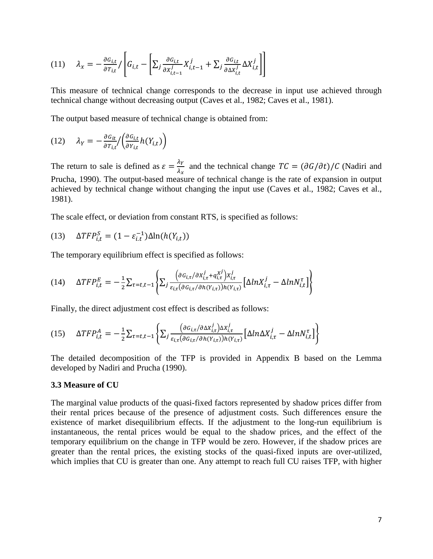$$
(11) \qquad \lambda_x = -\frac{\partial G_{i,t}}{\partial T_{i,t}} / \left[ G_{i,t} - \left[ \sum_j \frac{\partial G_{i,t}}{\partial x_{i,t-1}^j} X_{i,t-1}^j + \sum_j \frac{\partial G_{i,t}}{\partial \Delta x_{i,t}^j} \Delta X_{i,t}^j \right] \right]
$$

This measure of technical change corresponds to the decrease in input use achieved through technical change without decreasing output [\(Caves et al., 1982;](#page-21-2) [Caves et al., 1981\)](#page-21-3).

The output based measure of technical change is obtained from:

$$
(12) \qquad \lambda_Y = -\frac{\partial G_{it}}{\partial T_{i,t}} / \left( \frac{\partial G_{i,t}}{\partial Y_{i,t}} h(Y_{i,t}) \right)
$$

The return to sale is defined as  $\varepsilon = \frac{\lambda_Y}{\lambda_x}$  and the technical change  $TC = (\partial G/\partial t)/C$  (Nadiri and [Prucha, 1990\)](#page-23-3). The output-based measure of technical change is the rate of expansion in output achieved by technical change without changing the input use [\(Caves et al., 1982;](#page-21-2) [Caves et al.,](#page-21-3)  [1981\)](#page-21-3).

The scale effect, or deviation from constant RTS, is specified as follows:

(13) 
$$
\Delta TFP_{i,t}^S = (1 - \varepsilon_{i,t}^{-1})\Delta \ln(h(Y_{i,t}))
$$

The temporary equilibrium effect is specified as follows:

$$
(14) \quad \Delta TFP_{i,t}^{E} = -\frac{1}{2} \sum_{\tau=t,t-1} \left\{ \sum_j \frac{\left( \partial G_{i,\tau} / \partial X_{i,\tau}^j + q_{i,\tau}^{X^j} \right) X_{i,\tau}^j}{\varepsilon_{i,\tau} (\partial G_{i,\tau} / \partial h(Y_{i,\tau})) h(Y_{i,\tau})} \left[ \Delta l n X_{i,\tau}^j - \Delta l n N_{i,t}^{\tau} \right] \right\}
$$

Finally, the direct adjustment cost effect is described as follows:

$$
(15) \quad \Delta TFP_{i,t}^{A} = -\frac{1}{2} \sum_{\tau=t,t-1} \left\{ \sum_{j} \frac{\left(\partial G_{i,\tau}/\partial \Delta X_{i,\tau}^{j}\right) \Delta X_{i,\tau}^{j}}{\varepsilon_{i,\tau}(\partial G_{i,\tau}/\partial h(Y_{i,\tau})) h(Y_{i,\tau})} \left[\Delta ln \Delta X_{i,\tau}^{j} - \Delta ln N_{i,t}^{\tau}\right] \right\}
$$

The detailed decomposition of the TFP is provided in Appendix B based on the Lemma developed by [Nadiri and Prucha \(1990\).](#page-23-3)

#### **3.3 Measure of CU**

The marginal value products of the quasi-fixed factors represented by shadow prices differ from their rental prices because of the presence of adjustment costs. Such differences ensure the existence of market disequilibrium effects. If the adjustment to the long-run equilibrium is instantaneous, the rental prices would be equal to the shadow prices, and the effect of the temporary equilibrium on the change in TFP would be zero. However, if the shadow prices are greater than the rental prices, the existing stocks of the quasi-fixed inputs are over-utilized, which implies that CU is greater than one. Any attempt to reach full CU raises TFP, with higher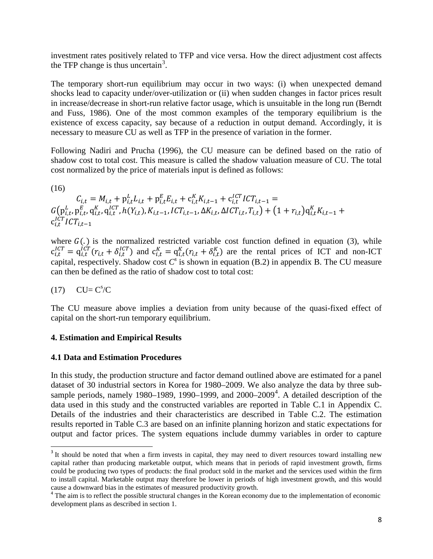investment rates positively related to TFP and vice versa. How the direct adjustment cost affects the TFP change is thus uncertain<sup>[3](#page-5-1)</sup>.

The temporary short-run equilibrium may occur in two ways: (i) when unexpected demand shocks lead to capacity under/over-utilization or (ii) when sudden changes in factor prices result in increase/decrease in short-run relative factor usage, which is unsuitable in the long run [\(Berndt](#page-21-4)  [and Fuss, 1986\)](#page-21-4). One of the most common examples of the temporary equilibrium is the existence of excess capacity, say because of a reduction in output demand. Accordingly, it is necessary to measure CU as well as TFP in the presence of variation in the former.

Following [Nadiri and Prucha \(1996\),](#page-23-4) the CU measure can be defined based on the ratio of shadow cost to total cost. This measure is called the shadow valuation measure of CU. The total cost normalized by the price of materials input is defined as follows:

(16)

 $C_{i,t} = M_{i,t} + p_{i,t}^L L_{i,t} + p_{i,t}^E E_{i,t} + c_{i,t}^K K_{i,t-1} + c_{i,t}^{ICT} ICT_{i,t-1} =$  $G(\mathbf{p}_{i,t}^L, \mathbf{p}_{i,t}^E, \mathbf{q}_{i,t}^K, \mathbf{q}_{i,t}^{lCT}, h(Y_{i,t}), K_{i,t-1}, ICT_{i,t-1}, \Delta K_{i,t}, \Delta ICT_{i,t}, T_{i,t}) + (1 + r_{i,t})\mathbf{q}_{i,t}^K K_{i,t-1} +$  $\mathbf{c}_{i,t}^{ICT} ICT_{i,t-1}$ 

where  $G(.)$  is the normalized restricted variable cost function defined in equation (3), while  $c_{i,t}^{ICT} = q_{i,t}^{ICT}(r_{i,t} + \delta_{i,t}^{ICT})$  and  $c_{i,t}^{K} = q_{i,t}^{K}(r_{i,t} + \delta_{i,t}^{K})$  are the rental prices of ICT and non-ICT capital, respectively. Shadow cost  $C^s$  is shown in equation (B.2) in appendix B. The CU measure can then be defined as the ratio of shadow cost to total cost:

## $(17)$  CU=  $C<sup>s</sup>/C$

The CU measure above implies a deviation from unity because of the quasi-fixed effect of capital on the short-run temporary equilibrium.

#### **4. Estimation and Empirical Results**

#### **4.1 Data and Estimation Procedures**

In this study, the production structure and factor demand outlined above are estimated for a panel dataset of 30 industrial sectors in Korea for 1980–2009. We also analyze the data by three subsample periods, namely 1980–1989, 1990–1999, and  $2000-2009<sup>4</sup>$  $2000-2009<sup>4</sup>$  $2000-2009<sup>4</sup>$ . A detailed description of the data used in this study and the constructed variables are reported in Table C.1 in Appendix C. Details of the industries and their characteristics are described in Table C.2. The estimation results reported in Table C.3 are based on an infinite planning horizon and static expectations for output and factor prices. The system equations include dummy variables in order to capture

<sup>&</sup>lt;sup>3</sup> It should be noted that when a firm invests in capital, they may need to divert resources toward installing new capital rather than producing marketable output, which means that in periods of rapid investment growth, firms could be producing two types of products: the final product sold in the market and the services used within the firm to install capital. Marketable output may therefore be lower in periods of high investment growth, and this would

<span id="page-9-1"></span><span id="page-9-0"></span>cause a downward bias in the estimates of measured productivity growth. <sup>4</sup> The aim is to reflect the possible structural changes in the Korean economy due to the implementation of economic development plans as described in section 1.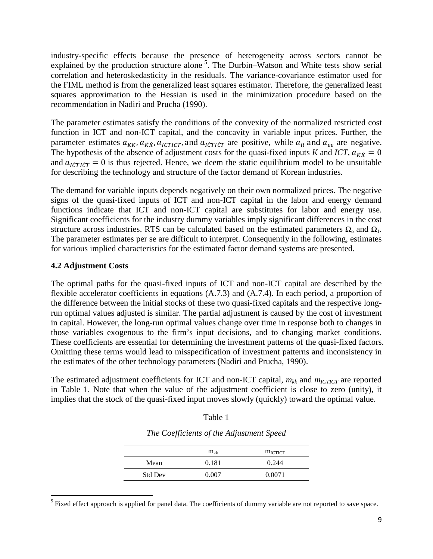industry-specific effects because the presence of heterogeneity across sectors cannot be explained by the production structure alone<sup>[5](#page-9-1)</sup>. The Durbin–Watson and White tests show serial correlation and heteroskedasticity in the residuals. The variance-covariance estimator used for the FIML method is from the generalized least squares estimator. Therefore, the generalized least squares approximation to the Hessian is used in the minimization procedure based on the recommendation in [Nadiri and Prucha \(1990\).](#page-23-3)

The parameter estimates satisfy the conditions of the convexity of the normalized restricted cost function in ICT and non-ICT capital, and the concavity in variable input prices. Further, the parameter estimates  $a_{KK}$ ,  $a_{KK}$ ,  $a_{ICTICT}$ , and  $a_{ICTICT}$  are positive, while  $a_{ll}$  and  $a_{ee}$  are negative. The hypothesis of the absence of adjustment costs for the quasi-fixed inputs *K* and *ICT*,  $a_{\dot{K}\dot{K}} = 0$ and  $a_{\text{ICTICT}} = 0$  is thus rejected. Hence, we deem the static equilibrium model to be unsuitable for describing the technology and structure of the factor demand of Korean industries.

The demand for variable inputs depends negatively on their own normalized prices. The negative signs of the quasi-fixed inputs of ICT and non-ICT capital in the labor and energy demand functions indicate that ICT and non-ICT capital are substitutes for labor and energy use. Significant coefficients for the industry dummy variables imply significant differences in the cost structure across industries. RTS can be calculated based on the estimated parameters  $\Omega_0$  and  $\Omega_1$ . The parameter estimates per se are difficult to interpret. Consequently in the following, estimates for various implied characteristics for the estimated factor demand systems are presented.

#### **4.2 Adjustment Costs**

The optimal paths for the quasi-fixed inputs of ICT and non-ICT capital are described by the flexible accelerator coefficients in equations (A.7.3) and (A.7.4). In each period, a proportion of the difference between the initial stocks of these two quasi-fixed capitals and the respective longrun optimal values adjusted is similar. The partial adjustment is caused by the cost of investment in capital. However, the long-run optimal values change over time in response both to changes in those variables exogenous to the firm's input decisions, and to changing market conditions. These coefficients are essential for determining the investment patterns of the quasi-fixed factors. Omitting these terms would lead to misspecification of investment patterns and inconsistency in the estimates of the other technology parameters [\(Nadiri and Prucha, 1990\)](#page-23-3).

The estimated adjustment coefficients for ICT and non-ICT capital,  $m_{kk}$  and  $m_{ICTICT}$  are reported in Table 1. Note that when the value of the adjustment coefficient is close to zero (unity), it implies that the stock of the quasi-fixed input moves slowly (quickly) toward the optimal value.

|                | $m_{kk}$ | $m_{\text{ICTICT}}$ |
|----------------|----------|---------------------|
| Mean           | 0.181    | 0.244               |
| <b>Std Dev</b> | 0.007    | 0.0071              |

*The Coefficients of the Adjustment Speed*

Table 1

<span id="page-10-0"></span><sup>5</sup> Fixed effect approach is applied for panel data. The coefficients of dummy variable are not reported to save space.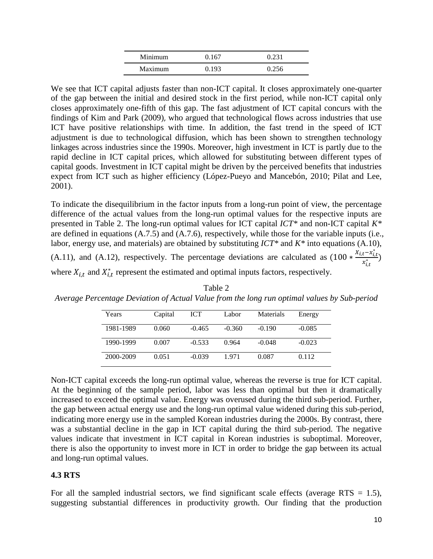| Minimum | 0.167 | 0.231 |
|---------|-------|-------|
| Maximum | 0.193 | 0.256 |

We see that ICT capital adjusts faster than non-ICT capital. It closes approximately one-quarter of the gap between the initial and desired stock in the first period, while non-ICT capital only closes approximately one-fifth of this gap. The fast adjustment of ICT capital concurs with the findings of [Kim and Park \(2009\)](#page-22-6), who argued that technological flows across industries that use ICT have positive relationships with time. In addition, the fast trend in the speed of ICT adjustment is due to technological diffusion, which has been shown to strengthen technology linkages across industries since the 1990s. Moreover, high investment in ICT is partly due to the rapid decline in ICT capital prices, which allowed for substituting between different types of capital goods. Investment in ICT capital might be driven by the perceived benefits that industries expect from ICT such as higher efficiency [\(López-Pueyo and Mancebón, 2010;](#page-22-7) [Pilat and Lee,](#page-23-7)  [2001\)](#page-23-7).

To indicate the disequilibrium in the factor inputs from a long-run point of view, the percentage difference of the actual values from the long-run optimal values for the respective inputs are presented in Table 2. The long-run optimal values for ICT capital *ICT\** and non-ICT capital *K\** are defined in equations (A.7.5) and (A.7.6), respectively, while those for the variable inputs (i.e., labor, energy use, and materials) are obtained by substituting *ICT\** and *K\** into equations (A.10), (A.11), and (A.12), respectively. The percentage deviations are calculated as  $(100 * \frac{x_{i,t} - x_{i,t}^*}{x_{i,t}^*})$  $\frac{1}{x_{i,t}^*}$ ) where  $X_{i,t}$  and  $X_{i,t}^*$  represent the estimated and optimal inputs factors, respectively.

| Years     | Capital | <b>ICT</b> | Labor    | Materials | Energy   |
|-----------|---------|------------|----------|-----------|----------|
| 1981-1989 | 0.060   | $-0.465$   | $-0.360$ | $-0.190$  | $-0.085$ |
| 1990-1999 | 0.007   | $-0.533$   | 0.964    | $-0.048$  | $-0.023$ |
| 2000-2009 | 0.051   | $-0.039$   | 1.971    | 0.087     | 0.112    |

Table 2 *Average Percentage Deviation of Actual Value from the long run optimal values by Sub-period*

Non-ICT capital exceeds the long-run optimal value, whereas the reverse is true for ICT capital. At the beginning of the sample period, labor was less than optimal but then it dramatically increased to exceed the optimal value. Energy was overused during the third sub-period. Further, the gap between actual energy use and the long-run optimal value widened during this sub-period, indicating more energy use in the sampled Korean industries during the 2000s. By contrast, there was a substantial decline in the gap in ICT capital during the third sub-period. The negative values indicate that investment in ICT capital in Korean industries is suboptimal. Moreover, there is also the opportunity to invest more in ICT in order to bridge the gap between its actual and long-run optimal values.

## **4.3 RTS**

For all the sampled industrial sectors, we find significant scale effects (average RTS  $= 1.5$ ), suggesting substantial differences in productivity growth. Our finding that the production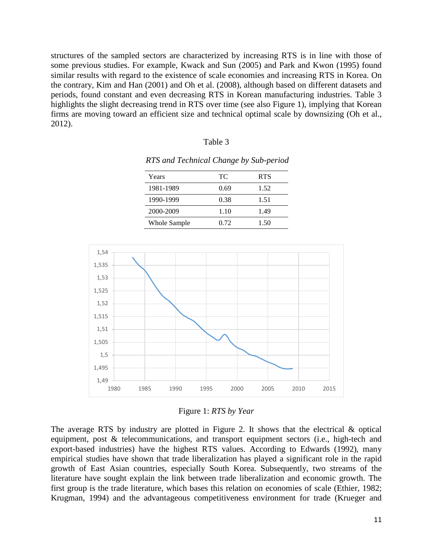structures of the sampled sectors are characterized by increasing RTS is in line with those of some previous studies. For example, [Kwack and Sun \(2005\)](#page-22-8) and [Park and Kwon \(1995\)](#page-23-8) found similar results with regard to the existence of scale economies and increasing RTS in Korea. On the contrary, [Kim and Han \(2001\)](#page-22-9) and [Oh et al. \(2008\),](#page-23-1) although based on different datasets and periods, found constant and even decreasing RTS in Korean manufacturing industries. Table 3 highlights the slight decreasing trend in RTS over time (see also [Figure 1\)](#page-12-0), implying that Korean firms are moving toward an efficient size and technical optimal scale by downsizing [\(Oh et al.,](#page-23-0)  [2012\)](#page-23-0).

| anje |  |
|------|--|
|------|--|

| Years               | TC.  | <b>RTS</b> |
|---------------------|------|------------|
| 1981-1989           | 0.69 | 1.52       |
| 1990-1999           | 0.38 | 1.51       |
| 2000-2009           | 1.10 | 1.49       |
| <b>Whole Sample</b> | 0.72 | 1.50       |

*RTS and Technical Change by Sub-period*



Figure 1: *RTS by Year*

<span id="page-12-0"></span>The average RTS by industry are plotted in [Figure 2.](#page-13-0) It shows that the electrical & optical equipment, post & telecommunications, and transport equipment sectors (i.e., high-tech and export-based industries) have the highest RTS values. According to [Edwards \(1992\)](#page-21-5), many empirical studies have shown that trade liberalization has played a significant role in the rapid growth of East Asian countries, especially South Korea. Subsequently, two streams of the literature have sought explain the link between trade liberalization and economic growth. The first group is the trade literature, which bases this relation on economies of scale [\(Ethier, 1982;](#page-21-6) [Krugman, 1994\)](#page-22-10) and the advantageous competitiveness environment for trade [\(Krueger and](#page-22-11)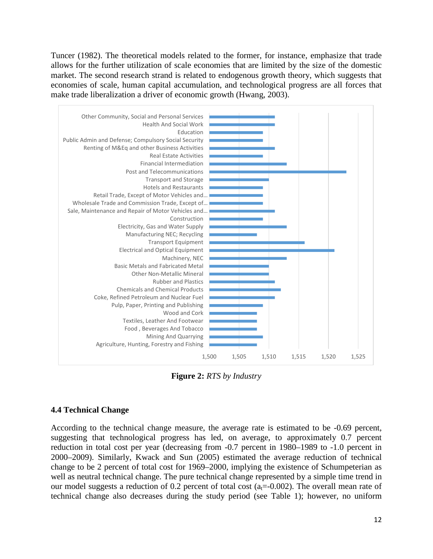Tuncer (1982). The theoretical models related to the former, for instance, emphasize that trade allows for the further utilization of scale economies that are limited by the size of the domestic market. The second research strand is related to endogenous growth theory, which suggests that economies of scale, human capital accumulation, and technological progress are all forces that make trade liberalization a driver of economic growth [\(Hwang, 2003\)](#page-22-12).



**Figure 2:** *RTS by Industry*

## <span id="page-13-0"></span>**4.4 Technical Change**

According to the technical change measure, the average rate is estimated to be -0.69 percent, suggesting that technological progress has led, on average, to approximately 0.7 percent reduction in total cost per year (decreasing from -0.7 percent in 1980–1989 to -1.0 percent in 2000–2009). Similarly, [Kwack and Sun \(2005\)](#page-22-8) estimated the average reduction of technical change to be 2 percent of total cost for 1969–2000, implying the existence of Schumpeterian as well as neutral technical change. The pure technical change represented by a simple time trend in our model suggests a reduction of 0.2 percent of total cost  $(a<sub>t</sub>=-0.002)$ . The overall mean rate of technical change also decreases during the study period (see Table 1); however, no uniform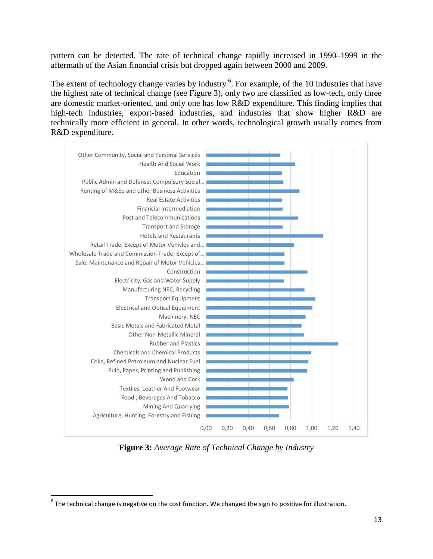pattern can be detected. The rate of technical change rapidly increased in 1990–1999 in the aftermath of the Asian financial crisis but dropped again between 2000 and 2009.

The extent of technology change varies by industry <sup>[6](#page-10-0)</sup>. For example, of the 10 industries that have the highest rate of technical change (see [Figure 3\)](#page-14-0), only two are classified as low-tech, only three are domestic market-oriented, and only one has low R&D expenditure. This finding implies that high-tech industries, export-based industries, and industries that show higher R&D are technically more efficient in general. In other words, technological growth usually comes from R&D expenditure.



**Figure 3:** *Average Rate of Technical Change by Industry*

<span id="page-14-1"></span><span id="page-14-0"></span> $6$  The technical change is negative on the cost function. We changed the sign to positive for illustration.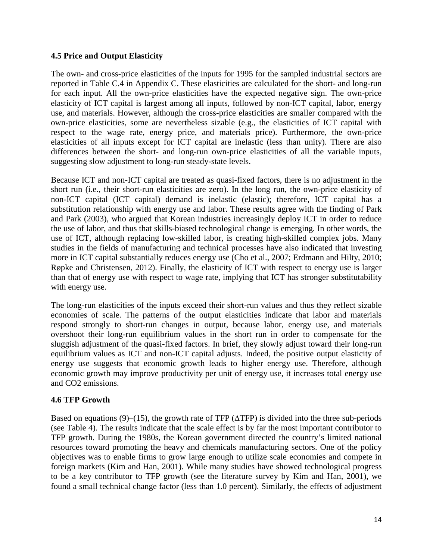#### **4.5 Price and Output Elasticity**

The own- and cross-price elasticities of the inputs for 1995 for the sampled industrial sectors are reported in Table C.4 in Appendix C. These elasticities are calculated for the short- and long-run for each input. All the own-price elasticities have the expected negative sign. The own-price elasticity of ICT capital is largest among all inputs, followed by non-ICT capital, labor, energy use, and materials. However, although the cross-price elasticities are smaller compared with the own-price elasticities, some are nevertheless sizable (e.g., the elasticities of ICT capital with respect to the wage rate, energy price, and materials price). Furthermore, the own-price elasticities of all inputs except for ICT capital are inelastic (less than unity). There are also differences between the short- and long-run own-price elasticities of all the variable inputs, suggesting slow adjustment to long-run steady-state levels.

Because ICT and non-ICT capital are treated as quasi-fixed factors, there is no adjustment in the short run (i.e., their short-run elasticities are zero). In the long run, the own-price elasticity of non-ICT capital (ICT capital) demand is inelastic (elastic); therefore, ICT capital has a substitution relationship with energy use and labor. These results agree with the finding of [Park](#page-23-9)  and Park (2003), who argued that Korean industries increasingly deploy ICT in order to reduce the use of labor, and thus that skills-biased technological change is emerging. In other words, the use of ICT, although replacing low-skilled labor, is creating high-skilled complex jobs. Many studies in the fields of manufacturing and technical processes have also indicated that investing more in ICT capital substantially reduces energy use [\(Cho et al., 2007;](#page-21-7) [Erdmann and Hilty, 2010;](#page-21-8) [Røpke and Christensen, 2012\)](#page-24-3). Finally, the elasticity of ICT with respect to energy use is larger than that of energy use with respect to wage rate, implying that ICT has stronger substitutability with energy use.

The long-run elasticities of the inputs exceed their short-run values and thus they reflect sizable economies of scale. The patterns of the output elasticities indicate that labor and materials respond strongly to short-run changes in output, because labor, energy use, and materials overshoot their long-run equilibrium values in the short run in order to compensate for the sluggish adjustment of the quasi-fixed factors. In brief, they slowly adjust toward their long-run equilibrium values as ICT and non-ICT capital adjusts. Indeed, the positive output elasticity of energy use suggests that economic growth leads to higher energy use. Therefore, although economic growth may improve productivity per unit of energy use, it increases total energy use and CO2 emissions.

## **4.6 TFP Growth**

Based on equations (9)–(15), the growth rate of TFP ( $\triangle$ TFP) is divided into the three sub-periods (see Table 4). The results indicate that the scale effect is by far the most important contributor to TFP growth. During the 1980s, the Korean government directed the country's limited national resources toward promoting the heavy and chemicals manufacturing sectors. One of the policy objectives was to enable firms to grow large enough to utilize scale economies and compete in foreign markets [\(Kim and Han, 2001\)](#page-22-9). While many studies have showed technological progress to be a key contributor to TFP growth [\(see the literature survey by Kim and Han, 2001\)](#page-22-9), we found a small technical change factor (less than 1.0 percent). Similarly, the effects of adjustment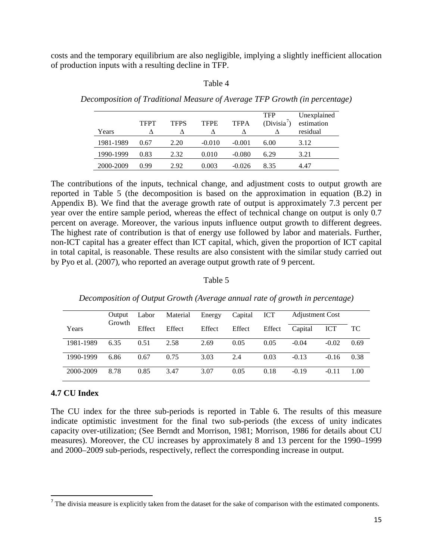costs and the temporary equilibrium are also negligible, implying a slightly inefficient allocation of production inputs with a resulting decline in TFP.

| able |  |
|------|--|
|------|--|

| Years     | <b>TFPT</b> | <b>TFPS</b> | <b>TFPE</b> | <b>TFPA</b> | <b>TFP</b><br>$(Divisia^7)$ | Unexplained<br>estimation<br>residual |
|-----------|-------------|-------------|-------------|-------------|-----------------------------|---------------------------------------|
| 1981-1989 | 0.67        | 2.20        | $-0.010$    | $-0.001$    | 6.00                        | 3.12                                  |
| 1990-1999 | 0.83        | 2.32        | 0.010       | $-0.080$    | 6.29                        | 3.21                                  |
| 2000-2009 | 0.99        | 2.92        | 0.003       | $-0.026$    | 8.35                        | 4.47                                  |

*Decomposition of Traditional Measure of Average TFP Growth (in percentage)*

The contributions of the inputs, technical change, and adjustment costs to output growth are reported in Table 5 (the decomposition is based on the approximation in equation (B.2) in Appendix B). We find that the average growth rate of output is approximately 7.3 percent per year over the entire sample period, whereas the effect of technical change on output is only 0.7 percent on average. Moreover, the various inputs influence output growth to different degrees. The highest rate of contribution is that of energy use followed by labor and materials. Further, non-ICT capital has a greater effect than ICT capital, which, given the proportion of ICT capital in total capital, is reasonable. These results are also consistent with the similar study carried out by [Pyo et al. \(2007\)](#page-23-10), who reported an average output growth rate of 9 percent.

#### Table 5

|           | Output<br>Growth | Labor  | Material | Energy | Capital | <b>ICT</b> | <b>Adjustment Cost</b> |            |      |
|-----------|------------------|--------|----------|--------|---------|------------|------------------------|------------|------|
| Years     |                  | Effect | Effect   | Effect | Effect  | Effect     | Capital                | <b>ICT</b> | TС.  |
| 1981-1989 | 6.35             | 0.51   | 2.58     | 2.69   | 0.05    | 0.05       | $-0.04$                | $-0.02$    | 0.69 |
| 1990-1999 | 6.86             | 0.67   | 0.75     | 3.03   | 2.4     | 0.03       | $-0.13$                | $-0.16$    | 0.38 |
| 2000-2009 | 8.78             | 0.85   | 3.47     | 3.07   | 0.05    | 0.18       | $-0.19$                | $-0.11$    | 1.00 |

*Decomposition of Output Growth (Average annual rate of growth in percentage)*

#### **4.7 CU Index**

The CU index for the three sub-periods is reported in Table 6. The results of this measure indicate optimistic investment for the final two sub-periods (the excess of unity indicates capacity over-utilization; (See [Berndt and Morrison, 1981;](#page-21-9) [Morrison, 1986 for details about CU](#page-22-13)  [measures\)](#page-22-13). Moreover, the CU increases by approximately 8 and 13 percent for the 1990–1999 and 2000–2009 sub-periods, respectively, reflect the corresponding increase in output.

<span id="page-16-0"></span> $<sup>7</sup>$  The divisia measure is explicitly taken from the dataset for the sake of comparison with the estimated components.</sup>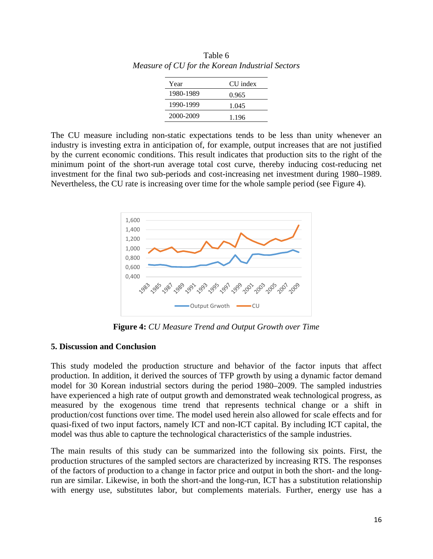| Year      | CU index |
|-----------|----------|
| 1980-1989 | 0.965    |
| 1990-1999 | 1.045    |
| 2000-2009 | 1.196    |

Table 6 *Measure of CU for the Korean Industrial Sectors*

The CU measure including non-static expectations tends to be less than unity whenever an industry is investing extra in anticipation of, for example, output increases that are not justified by the current economic conditions. This result indicates that production sits to the right of the minimum point of the short-run average total cost curve, thereby inducing cost-reducing net investment for the final two sub-periods and cost-increasing net investment during 1980–1989. Nevertheless, the CU rate is increasing over time for the whole sample period (see [Figure 4\)](#page-17-0).



**Figure 4:** *CU Measure Trend and Output Growth over Time*

#### <span id="page-17-0"></span>**5. Discussion and Conclusion**

This study modeled the production structure and behavior of the factor inputs that affect production. In addition, it derived the sources of TFP growth by using a dynamic factor demand model for 30 Korean industrial sectors during the period 1980–2009. The sampled industries have experienced a high rate of output growth and demonstrated weak technological progress, as measured by the exogenous time trend that represents technical change or a shift in production/cost functions over time. The model used herein also allowed for scale effects and for quasi-fixed of two input factors, namely ICT and non-ICT capital. By including ICT capital, the model was thus able to capture the technological characteristics of the sample industries.

The main results of this study can be summarized into the following six points. First, the production structures of the sampled sectors are characterized by increasing RTS. The responses of the factors of production to a change in factor price and output in both the short- and the longrun are similar. Likewise, in both the short-and the long-run, ICT has a substitution relationship with energy use, substitutes labor, but complements materials. Further, energy use has a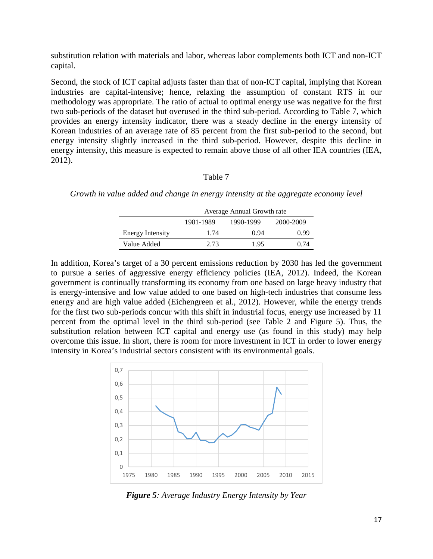substitution relation with materials and labor, whereas labor complements both ICT and non-ICT capital.

Second, the stock of ICT capital adjusts faster than that of non-ICT capital, implying that Korean industries are capital-intensive; hence, relaxing the assumption of constant RTS in our methodology was appropriate. The ratio of actual to optimal energy use was negative for the first two sub-periods of the dataset but overused in the third sub-period. According to Table 7, which provides an energy intensity indicator, there was a steady decline in the energy intensity of Korean industries of an average rate of 85 percent from the first sub-period to the second, but energy intensity slightly increased in the third sub-period. However, despite this decline in energy intensity, this measure is expected to remain above those of all other IEA countries [\(IEA,](#page-22-14)  [2012\)](#page-22-14).

#### Table 7

|                         | Average Annual Growth rate |           |           |  |
|-------------------------|----------------------------|-----------|-----------|--|
|                         | 1981-1989                  | 1990-1999 | 2000-2009 |  |
| <b>Energy Intensity</b> | 1.74                       | 0.94      | O 99      |  |
| Value Added             | 2.73                       | 1.95      | 0.74      |  |

*Growth in value added and change in energy intensity at the aggregate economy level*

In addition, Korea's target of a 30 percent emissions reduction by 2030 has led the government to pursue a series of aggressive energy efficiency policies [\(IEA, 2012\)](#page-22-14). Indeed, the Korean government is continually transforming its economy from one based on large heavy industry that is energy-intensive and low value added to one based on high-tech industries that consume less energy and are high value added [\(Eichengreen et al., 2012\)](#page-21-10). However, while the energy trends for the first two sub-periods concur with this shift in industrial focus, energy use increased by 11 percent from the optimal level in the third sub-period (see Table 2 and Figure 5). Thus, the substitution relation between ICT capital and energy use (as found in this study) may help overcome this issue. In short, there is room for more investment in ICT in order to lower energy intensity in Korea's industrial sectors consistent with its environmental goals.



*Figure 5: Average Industry Energy Intensity by Year*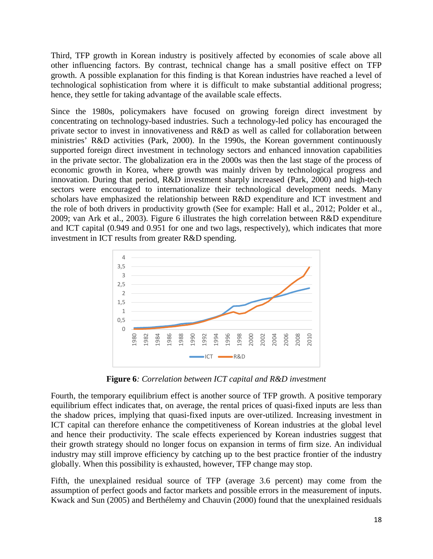Third, TFP growth in Korean industry is positively affected by economies of scale above all other influencing factors. By contrast, technical change has a small positive effect on TFP growth. A possible explanation for this finding is that Korean industries have reached a level of technological sophistication from where it is difficult to make substantial additional progress; hence, they settle for taking advantage of the available scale effects.

Since the 1980s, policymakers have focused on growing foreign direct investment by concentrating on technology-based industries. Such a technology-led policy has encouraged the private sector to invest in innovativeness and R&D as well as called for collaboration between ministries' R&D activities [\(Park, 2000\)](#page-23-2). In the 1990s, the Korean government continuously supported foreign direct investment in technology sectors and enhanced innovation capabilities in the private sector. The globalization era in the 2000s was then the last stage of the process of economic growth in Korea, where growth was mainly driven by technological progress and innovation. During that period, R&D investment sharply increased [\(Park, 2000\)](#page-23-2) and high-tech sectors were encouraged to internationalize their technological development needs. Many scholars have emphasized the relationship between R&D expenditure and ICT investment and the role of both drivers in productivity growth (See for example: [Hall et al., 2012;](#page-21-11) [Polder et al.,](#page-23-11)  [2009;](#page-23-11) [van Ark et al., 2003\)](#page-24-4). Figure 6 illustrates the high correlation between R&D expenditure and ICT capital (0.949 and 0.951 for one and two lags, respectively), which indicates that more investment in ICT results from greater R&D spending.



**Figure 6***: Correlation between ICT capital and R&D investment*

Fourth, the temporary equilibrium effect is another source of TFP growth. A positive temporary equilibrium effect indicates that, on average, the rental prices of quasi-fixed inputs are less than the shadow prices, implying that quasi-fixed inputs are over-utilized. Increasing investment in ICT capital can therefore enhance the competitiveness of Korean industries at the global level and hence their productivity. The scale effects experienced by Korean industries suggest that their growth strategy should no longer focus on expansion in terms of firm size. An individual industry may still improve efficiency by catching up to the best practice frontier of the industry globally. When this possibility is exhausted, however, TFP change may stop.

Fifth, the unexplained residual source of TFP (average 3.6 percent) may come from the assumption of perfect goods and factor markets and possible errors in the measurement of inputs. [Kwack and Sun \(2005\)](#page-22-8) and [Berthélemy and Chauvin \(2000\)](#page-21-12) found that the unexplained residuals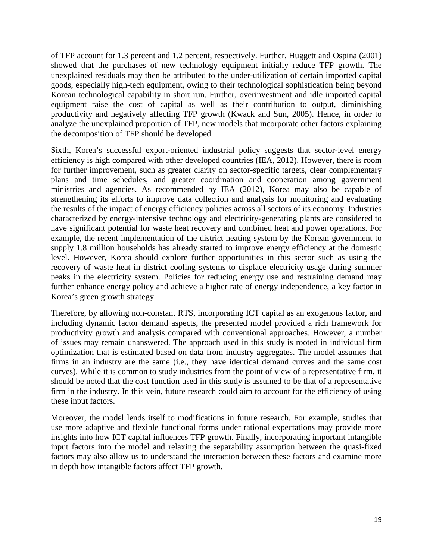of TFP account for 1.3 percent and 1.2 percent, respectively. Further, [Huggett and Ospina \(2001\)](#page-22-15) showed that the purchases of new technology equipment initially reduce TFP growth. The unexplained residuals may then be attributed to the under-utilization of certain imported capital goods, especially high-tech equipment, owing to their technological sophistication being beyond Korean technological capability in short run. Further, overinvestment and idle imported capital equipment raise the cost of capital as well as their contribution to output, diminishing productivity and negatively affecting TFP growth [\(Kwack and Sun, 2005\)](#page-22-8). Hence, in order to analyze the unexplained proportion of TFP, new models that incorporate other factors explaining the decomposition of TFP should be developed.

Sixth, Korea's successful export-oriented industrial policy suggests that sector-level energy efficiency is high compared with other developed countries [\(IEA, 2012\)](#page-22-14). However, there is room for further improvement, such as greater clarity on sector-specific targets, clear complementary plans and time schedules, and greater coordination and cooperation among government ministries and agencies. As recommended by [IEA \(2012\),](#page-22-14) Korea may also be capable of strengthening its efforts to improve data collection and analysis for monitoring and evaluating the results of the impact of energy efficiency policies across all sectors of its economy. Industries characterized by energy-intensive technology and electricity-generating plants are considered to have significant potential for waste heat recovery and combined heat and power operations. For example, the recent implementation of the district heating system by the Korean government to supply 1.8 million households has already started to improve energy efficiency at the domestic level. However, Korea should explore further opportunities in this sector such as using the recovery of waste heat in district cooling systems to displace electricity usage during summer peaks in the electricity system. Policies for reducing energy use and restraining demand may further enhance energy policy and achieve a higher rate of energy independence, a key factor in Korea's green growth strategy.

Therefore, by allowing non-constant RTS, incorporating ICT capital as an exogenous factor, and including dynamic factor demand aspects, the presented model provided a rich framework for productivity growth and analysis compared with conventional approaches. However, a number of issues may remain unanswered. The approach used in this study is rooted in individual firm optimization that is estimated based on data from industry aggregates. The model assumes that firms in an industry are the same (i.e., they have identical demand curves and the same cost curves). While it is common to study industries from the point of view of a representative firm, it should be noted that the cost function used in this study is assumed to be that of a representative firm in the industry. In this vein, future research could aim to account for the efficiency of using these input factors.

Moreover, the model lends itself to modifications in future research. For example, studies that use more adaptive and flexible functional forms under rational expectations may provide more insights into how ICT capital influences TFP growth. Finally, incorporating important intangible input factors into the model and relaxing the separability assumption between the quasi-fixed factors may also allow us to understand the interaction between these factors and examine more in depth how intangible factors affect TFP growth.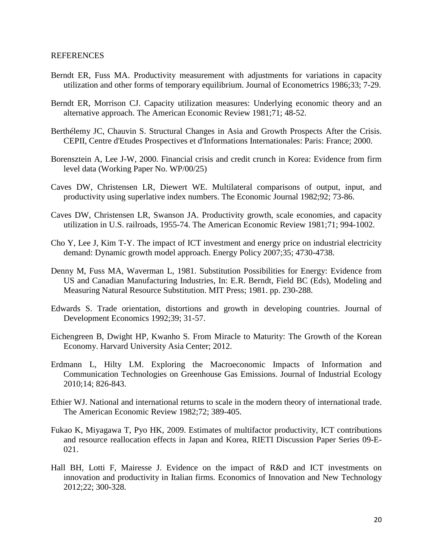- <span id="page-21-4"></span>Berndt ER, Fuss MA. Productivity measurement with adjustments for variations in capacity utilization and other forms of temporary equilibrium. Journal of Econometrics 1986;33; 7-29.
- <span id="page-21-9"></span>Berndt ER, Morrison CJ. Capacity utilization measures: Underlying economic theory and an alternative approach. The American Economic Review 1981;71; 48-52.
- <span id="page-21-12"></span>Berthélemy JC, Chauvin S. Structural Changes in Asia and Growth Prospects After the Crisis. CEPII, Centre d'Etudes Prospectives et d'Informations Internationales: Paris: France; 2000.
- <span id="page-21-0"></span>Borensztein A, Lee J-W, 2000. Financial crisis and credit crunch in Korea: Evidence from firm level data (Working Paper No. WP/00/25)
- <span id="page-21-2"></span>Caves DW, Christensen LR, Diewert WE. Multilateral comparisons of output, input, and productivity using superlative index numbers. The Economic Journal 1982;92; 73-86.
- <span id="page-21-3"></span>Caves DW, Christensen LR, Swanson JA. Productivity growth, scale economies, and capacity utilization in U.S. railroads, 1955-74. The American Economic Review 1981;71; 994-1002.
- <span id="page-21-7"></span>Cho Y, Lee J, Kim T-Y. The impact of ICT investment and energy price on industrial electricity demand: Dynamic growth model approach. Energy Policy 2007;35; 4730-4738.
- <span id="page-21-13"></span>Denny M, Fuss MA, Waverman L, 1981. Substitution Possibilities for Energy: Evidence from US and Canadian Manufacturing Industries, In: E.R. Berndt, Field BC (Eds), Modeling and Measuring Natural Resource Substitution. MIT Press; 1981. pp. 230-288.
- <span id="page-21-5"></span>Edwards S. Trade orientation, distortions and growth in developing countries. Journal of Development Economics 1992;39; 31-57.
- <span id="page-21-10"></span>Eichengreen B, Dwight HP, Kwanho S. From Miracle to Maturity: The Growth of the Korean Economy. Harvard University Asia Center; 2012.
- <span id="page-21-8"></span>Erdmann L, Hilty LM. Exploring the Macroeconomic Impacts of Information and Communication Technologies on Greenhouse Gas Emissions. Journal of Industrial Ecology 2010;14; 826-843.
- <span id="page-21-6"></span>Ethier WJ. National and international returns to scale in the modern theory of international trade. The American Economic Review 1982;72; 389-405.
- <span id="page-21-1"></span>Fukao K, Miyagawa T, Pyo HK, 2009. Estimates of multifactor productivity, ICT contributions and resource reallocation effects in Japan and Korea, RIETI Discussion Paper Series 09-E-021.
- <span id="page-21-11"></span>Hall BH, Lotti F, Mairesse J. Evidence on the impact of R&D and ICT investments on innovation and productivity in Italian firms. Economics of Innovation and New Technology 2012;22; 300-328.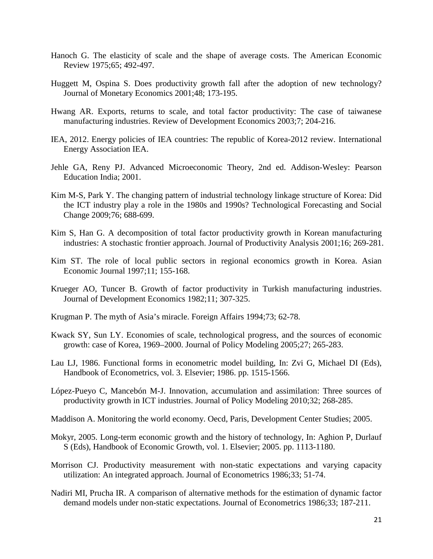- <span id="page-22-16"></span>Hanoch G. The elasticity of scale and the shape of average costs. The American Economic Review 1975;65; 492-497.
- <span id="page-22-15"></span>Huggett M, Ospina S. Does productivity growth fall after the adoption of new technology? Journal of Monetary Economics 2001;48; 173-195.
- <span id="page-22-12"></span>Hwang AR. Exports, returns to scale, and total factor productivity: The case of taiwanese manufacturing industries. Review of Development Economics 2003;7; 204-216.
- <span id="page-22-14"></span>IEA, 2012. Energy policies of IEA countries: The republic of Korea-2012 review. International Energy Association IEA.
- <span id="page-22-5"></span>Jehle GA, Reny PJ. Advanced Microeconomic Theory, 2nd ed. Addison-Wesley: Pearson Education India; 2001.
- <span id="page-22-6"></span>Kim M-S, Park Y. The changing pattern of industrial technology linkage structure of Korea: Did the ICT industry play a role in the 1980s and 1990s? Technological Forecasting and Social Change 2009;76; 688-699.
- <span id="page-22-9"></span>Kim S, Han G. A decomposition of total factor productivity growth in Korean manufacturing industries: A stochastic frontier approach. Journal of Productivity Analysis 2001;16; 269-281.
- <span id="page-22-2"></span>Kim ST. The role of local public sectors in regional economics growth in Korea. Asian Economic Journal 1997;11; 155-168.
- <span id="page-22-11"></span>Krueger AO, Tuncer B. Growth of factor productivity in Turkish manufacturing industries. Journal of Development Economics 1982;11; 307-325.
- <span id="page-22-10"></span><span id="page-22-8"></span>Krugman P. The myth of Asia's miracle. Foreign Affairs 1994;73; 62-78.
- Kwack SY, Sun LY. Economies of scale, technological progress, and the sources of economic growth: case of Korea, 1969–2000. Journal of Policy Modeling 2005;27; 265-283.
- <span id="page-22-4"></span>Lau LJ, 1986. Functional forms in econometric model building, In: Zvi G, Michael DI (Eds), Handbook of Econometrics, vol. 3. Elsevier; 1986. pp. 1515-1566.
- <span id="page-22-7"></span>López-Pueyo C, Mancebón M-J. Innovation, accumulation and assimilation: Three sources of productivity growth in ICT industries. Journal of Policy Modeling 2010;32; 268-285.
- <span id="page-22-1"></span><span id="page-22-0"></span>Maddison A. Monitoring the world economy. Oecd, Paris, Development Center Studies; 2005.
- Mokyr, 2005. Long-term economic growth and the history of technology, In: Aghion P, Durlauf S (Eds), Handbook of Economic Growth, vol. 1. Elsevier; 2005. pp. 1113-1180.
- <span id="page-22-13"></span>Morrison CJ. Productivity measurement with non-static expectations and varying capacity utilization: An integrated approach. Journal of Econometrics 1986;33; 51-74.
- <span id="page-22-3"></span>Nadiri MI, Prucha IR. A comparison of alternative methods for the estimation of dynamic factor demand models under non-static expectations. Journal of Econometrics 1986;33; 187-211.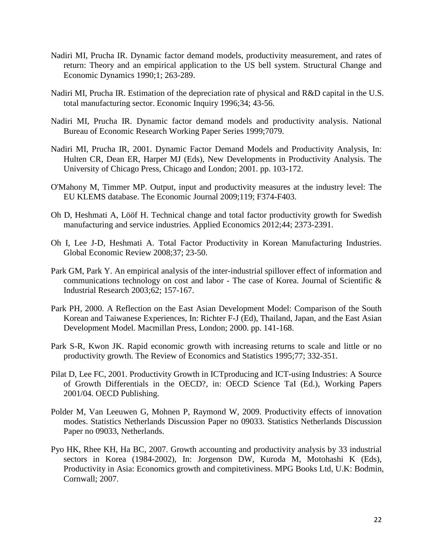- <span id="page-23-3"></span>Nadiri MI, Prucha IR. Dynamic factor demand models, productivity measurement, and rates of return: Theory and an empirical application to the US bell system. Structural Change and Economic Dynamics 1990;1; 263-289.
- <span id="page-23-4"></span>Nadiri MI, Prucha IR. Estimation of the depreciation rate of physical and R&D capital in the U.S. total manufacturing sector. Economic Inquiry 1996;34; 43-56.
- <span id="page-23-5"></span>Nadiri MI, Prucha IR. Dynamic factor demand models and productivity analysis. National Bureau of Economic Research Working Paper Series 1999;7079.
- <span id="page-23-6"></span>Nadiri MI, Prucha IR, 2001. Dynamic Factor Demand Models and Productivity Analysis, In: Hulten CR, Dean ER, Harper MJ (Eds), New Developments in Productivity Analysis. The University of Chicago Press, Chicago and London; 2001. pp. 103-172.
- O'Mahony M, Timmer MP. Output, input and productivity measures at the industry level: The EU KLEMS database. The Economic Journal 2009;119; F374-F403.
- <span id="page-23-0"></span>Oh D, Heshmati A, Lööf H. Technical change and total factor productivity growth for Swedish manufacturing and service industries. Applied Economics 2012;44; 2373-2391.
- <span id="page-23-1"></span>Oh I, Lee J-D, Heshmati A. Total Factor Productivity in Korean Manufacturing Industries. Global Economic Review 2008;37; 23-50.
- <span id="page-23-9"></span>Park GM, Park Y. An empirical analysis of the inter-industrial spillover effect of information and communications technology on cost and labor - The case of Korea. Journal of Scientific & Industrial Research 2003;62; 157-167.
- <span id="page-23-2"></span>Park PH, 2000. A Reflection on the East Asian Development Model: Comparison of the South Korean and Taiwanese Experiences, In: Richter F-J (Ed), Thailand, Japan, and the East Asian Development Model. Macmillan Press, London; 2000. pp. 141-168.
- <span id="page-23-8"></span>Park S-R, Kwon JK. Rapid economic growth with increasing returns to scale and little or no productivity growth. The Review of Economics and Statistics 1995;77; 332-351.
- <span id="page-23-7"></span>Pilat D, Lee FC, 2001. Productivity Growth in ICT producing and ICT-using Industries: A Source of Growth Differentials in the OECD?, in: OECD Science TaI (Ed.), Working Papers 2001/04. OECD Publishing.
- <span id="page-23-11"></span>Polder M, Van Leeuwen G, Mohnen P, Raymond W, 2009. Productivity effects of innovation modes. Statistics Netherlands Discussion Paper no 09033. Statistics Netherlands Discussion Paper no 09033, Netherlands.
- <span id="page-23-10"></span>Pyo HK, Rhee KH, Ha BC, 2007. Growth accounting and productivity analysis by 33 industrial sectors in Korea (1984-2002), In: Jorgenson DW, Kuroda M, Motohashi K (Eds), Productivity in Asia: Economics growth and compitetiviness. MPG Books Ltd, U.K: Bodmin, Cornwall; 2007.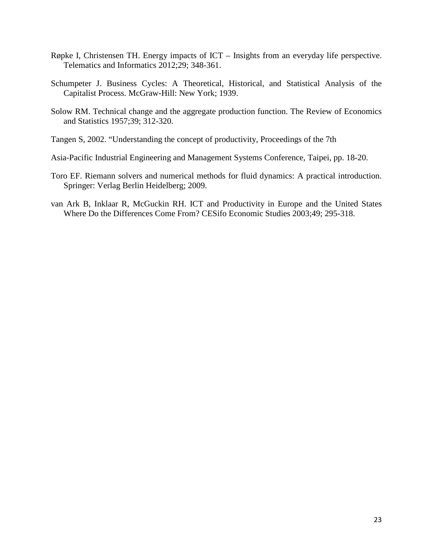- <span id="page-24-3"></span>Røpke I, Christensen TH. Energy impacts of ICT – Insights from an everyday life perspective. Telematics and Informatics 2012;29; 348-361.
- <span id="page-24-0"></span>Schumpeter J. Business Cycles: A Theoretical, Historical, and Statistical Analysis of the Capitalist Process. McGraw-Hill: New York; 1939.
- <span id="page-24-1"></span>Solow RM. Technical change and the aggregate production function. The Review of Economics and Statistics 1957;39; 312-320.
- <span id="page-24-2"></span>Tangen S, 2002. "Understanding the concept of productivity, Proceedings of the 7th
- <span id="page-24-5"></span>Asia-Pacific Industrial Engineering and Management Systems Conference, Taipei, pp. 18-20.
- Toro EF. Riemann solvers and numerical methods for fluid dynamics: A practical introduction. Springer: Verlag Berlin Heidelberg; 2009.
- <span id="page-24-4"></span>van Ark B, Inklaar R, McGuckin RH. ICT and Productivity in Europe and the United States Where Do the Differences Come From? CESifo Economic Studies 2003;49; 295-318.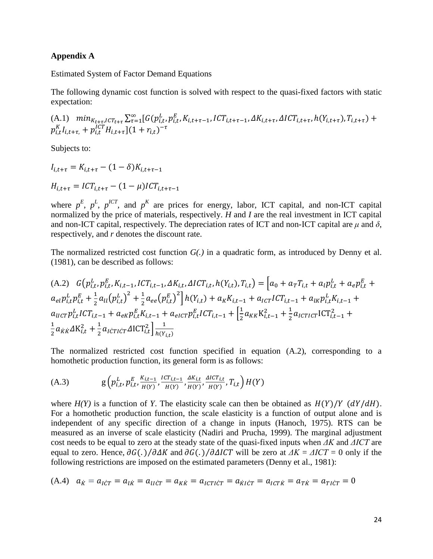#### **Appendix A**

Estimated System of Factor Demand Equations

The following dynamic cost function is solved with respect to the quasi-fixed factors with static expectation:

(A.1) 
$$
\min_{K_{t+\tau}, l \subset T_{t+\tau}} \sum_{\tau=1}^{\infty} [G(p_{i,t}^{L}, p_{i,t}^{E}, K_{i,t+\tau-1}, lCT_{i,t+\tau-1}, \Delta K_{i,t+\tau}, \Delta ICT_{i,t+\tau}, h(Y_{i,t+\tau}), T_{i,t+\tau}) + p_{i,t}^{KT}H_{i,t+\tau}](1 + r_{i,t})^{-\tau}
$$

Subjects to:

$$
I_{i,t+\tau} = K_{i,t+\tau} - (1 - \delta)K_{i,t+\tau-1}
$$
  

$$
H_{i,t+\tau} = ICT_{i,t+\tau} - (1 - \mu)ICT_{i,t+\tau-1}
$$

where  $p^E$ ,  $p^L$ ,  $p^{ICT}$ , and  $p^K$  are prices for energy, labor, ICT capital, and non-ICT capital normalized by the price of materials, respectively. *H* and *I* are the real investment in ICT capital and non-ICT capital, respectively. The depreciation rates of ICT and non-ICT capital are  $\mu$  and  $\delta$ , respectively, and *r* denotes the discount rate.

The normalized restricted cost function *G(.)* in a quadratic form, as introduced by [Denny et al.](#page-21-13)  (1981), can be described as follows:

(A.2) 
$$
G(p_{i,t}^L, p_{i,t}^E, K_{i,t-1}, ICT_{i,t-1}, \Delta K_{i,t}, \Delta ICT_{i,t}, h(Y_{i,t}), T_{i,t}) = \left[a_0 + a_T T_{i,t} + a_l p_{i,t}^L + a_e p_{i,t}^E + a_{el} p_{i,t}^L + a_{el} p_{i,t}^L + \frac{1}{2} a_{ll} (p_{i,t}^L)^2 + \frac{1}{2} a_{ee} (p_{i,t}^E)^2 \right] h(Y_{i,t}) + a_K K_{i,t-1} + a_{lCT} ICT_{i,t-1} + a_{lK} p_{i,t}^L K_{i,t-1} + a_{lCT} p_{i,t}^L ICT_{i,t-1} + a_{elCT} p_{i,t}^E ICT_{i,t-1} + \frac{1}{2} a_{KK} K_{i,t-1}^2 + \frac{1}{2} a_{lCTICT} TCT_{i,t-1}^2 + \frac{1}{2} a_{KK} \Delta K_{i,t}^2 + \frac{1}{2} a_{lCTICT} \Delta ICT_{i,t}^2 \right] \frac{1}{h(Y_{i,t})}
$$

The normalized restricted cost function specified in equation (A.2), corresponding to a homothetic production function, its general form is as follows:

(A.3) 
$$
g\left(p_{i,t}^L, p_{i,t'}^E, \frac{K_{i,t-1}}{H(Y)}, \frac{ICT_{i,t-1}}{H(Y)}, \frac{\Delta K_{i,t}}{H(Y)}, \frac{\Delta ICT_{i,t}}{H(Y)}, T_{i,t}\right)H(Y)
$$

where  $H(Y)$  is a function of *Y*. The elasticity scale can then be obtained as  $H(Y)/Y$  ( $dY/dH$ ). For a homothetic production function, the scale elasticity is a function of output alone and is independent of any specific direction of a change in inputs [\(Hanoch, 1975\)](#page-22-16). RTS can be measured as an inverse of scale elasticity [\(Nadiri and Prucha, 1999\)](#page-23-5). The marginal adjustment cost needs to be equal to zero at the steady state of the quasi-fixed inputs when *ΔK* and *ΔICT* are equal to zero. Hence,  $\partial G(.) / \partial \Delta K$  and  $\partial G(.) / \partial \Delta I C T$  will be zero at  $\Delta K = \Delta I C T = 0$  only if the following restrictions are imposed on the estimated parameters [\(Denny et al., 1981\)](#page-21-13):

(A.4) 
$$
a_{\dot{K}} = a_{\dot{I}\dot{C}T} = a_{\dot{I}\dot{K}} = a_{\dot{I}\dot{C}T} = a_{\dot{K}\dot{K}} = a_{\dot{I}\dot{C}T\dot{C}T} = a_{\dot{K}\dot{I}\dot{C}T} = a_{\dot{I}\dot{C}T\dot{K}} = a_{\dot{I}\dot{K}} = a_{\dot{I}\dot{C}T} = 0
$$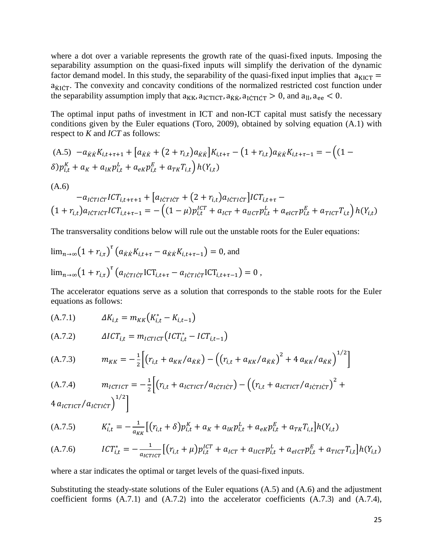where a dot over a variable represents the growth rate of the quasi-fixed inputs. Imposing the separability assumption on the quasi-fixed inputs will simplify the derivation of the dynamic factor demand model. In this study, the separability of the quasi-fixed input implies that  $a_{\text{KICT}} =$  $a_{\text{KICT}}$ . The convexity and concavity conditions of the normalized restricted cost function under the separability assumption imply that  $a_{KK}$ ,  $a_{\text{ICTICT}}$ ,  $a_{\text{KK}}$ ,  $a_{\text{ICTICT}} > 0$ , and  $a_{\text{II}}$ ,  $a_{\text{ee}} < 0$ .

The optimal input paths of investment in ICT and non-ICT capital must satisfy the necessary conditions given by the Euler equations [\(Toro, 2009\)](#page-24-5), obtained by solving equation (A.1) with respect to *K* and *ICT* as follows:

$$
(A.5) -a_{\hat{K}\hat{K}}K_{i,t+\tau+1} + [a_{\hat{K}\hat{K}} + (2 + r_{i,t})a_{\hat{K}\hat{K}}]K_{i,t+\tau} - (1 + r_{i,t})a_{\hat{K}\hat{K}}K_{i,t+\tau-1} = -((1 - \delta)p_{i,t}^{K} + a_{K} + a_{lK}p_{i,t}^{L} + a_{eK}p_{i,t}^{E} + a_{TK}T_{i,t})h(Y_{i,t})
$$
\n
$$
(A.6) -a_{\hat{K}\hat{T}i\hat{C}T}lCT_{i,t+\tau+1} + [a_{\hat{K}\hat{T}i\hat{C}T} + (2 + r_{i,t})a_{\hat{K}\hat{T}i\hat{C}T}]lCT_{i,t+\tau} - (1 + r_{i,t})a_{\hat{K}\hat{T}i\hat{C}T}lCT_{i,t+\tau-1} = -((1 - \mu)p_{i,t}^{ICT} + a_{\hat{K}\hat{T}} + a_{\hat{K}\hat{T}}p_{i,t}^{L} + a_{\hat{K}\hat{T}}p_{i,t}^{E} + a_{\hat{T}i\hat{C}T}T_{i,t})h(Y_{i,t})
$$

The transversality conditions below will rule out the unstable roots for the Euler equations:

$$
\lim_{n\to\infty} (1 + r_{i,\tau})^{\tau} \left( a_{\dot{K}\dot{K}} K_{i,t+\tau} - a_{\dot{K}\dot{K}} K_{i,t+\tau-1} \right) = 0, \text{ and}
$$
  

$$
\lim_{n\to\infty} (1 + r_{i,\tau})^{\tau} \left( a_{\dot{K}T\dot{K}T} \text{ICT}_{i,t+\tau} - a_{\dot{K}T\dot{K}T} \text{ICT}_{i,t+\tau-1} \right) = 0,
$$

The accelerator equations serve as a solution that corresponds to the stable roots for the Euler equations as follows:

(A.7.1) 
$$
\Delta K_{i,t} = m_{KK} (K_{i,t}^* - K_{i,t-1})
$$

(A.7.2) , = �, <sup>∗</sup> − ,−1�

(A.7.3) 
$$
m_{KK} = -\frac{1}{2} \Big[ \big( r_{i,t} + a_{KK} / a_{KK} \big) - \big( \big( r_{i,t} + a_{KK} / a_{KK} \big)^2 + 4 a_{KK} / a_{KK} \big)^{1/2} \Big]
$$

(A.7.4) 
$$
m_{ICTICT} = -\frac{1}{2} \Big[ (r_{i,t} + a_{ICTICT}/a_{I\text{CTICT}}) - ((r_{i,t} + a_{ICTICT}/a_{I\text{CTICT}})^2 + (r_{i,t} + a_{ICTICT}/a_{I\text{CTICT}})^2) \Big]
$$

 $4\,a_{\textit{ICTICT}}/a_{\textit{ICTICT}})$ �

(A.7.5) 
$$
K_{i,t}^* = -\frac{1}{a_{KK}} \left[ \left( r_{i,t} + \delta \right) p_{i,t}^K + a_K + a_{lK} p_{i,t}^L + a_{ek} p_{i,t}^E + a_{TK} T_{i,t} \right] h(Y_{i,t})
$$

$$
(A.7.6) \qquad ICT_{i,t}^* = -\frac{1}{a_{ICTICT}} \Big[ \big( r_{i,t} + \mu \big) p_{i,t}^{ICT} + a_{ICT} + a_{UCT} p_{i,t}^L + a_{eICT} p_{i,t}^E + a_{TICT} T_{i,t} \Big] h(Y_{i,t})
$$

where a star indicates the optimal or target levels of the quasi-fixed inputs.

Substituting the steady-state solutions of the Euler equations (A.5) and (A.6) and the adjustment coefficient forms (A.7.1) and (A.7.2) into the accelerator coefficients (A.7.3) and (A.7.4),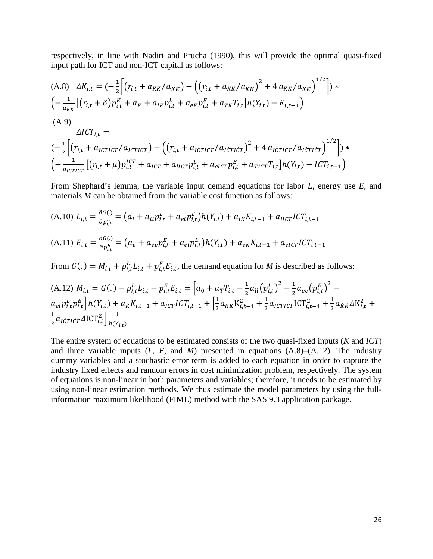respectively, in line with [Nadiri and Prucha \(1990\),](#page-23-3) this will provide the optimal quasi-fixed input path for ICT and non-ICT capital as follows:

(A.8) 
$$
\Delta K_{i,t} = \left(-\frac{1}{2}\Big[(r_{i,t} + a_{KK}/a_{KK}) - \Big((r_{i,t} + a_{KK}/a_{KK})^2 + 4 a_{KK}/a_{KK}\Big)^{1/2}\Big]\right) * \left(-\frac{1}{a_{KK}}\Big[(r_{i,t} + \delta)p_{i,t}^K + a_K + a_{IK}p_{i,t}^L + a_{ek}p_{i,t}^E + a_{TK}T_{i,t}\Big]h(Y_{i,t}) - K_{i,t-1}\right)
$$
\n(A.9)  
\n
$$
\Delta I C T_{i,t} =
$$
\n
$$
\left(-\frac{1}{2}\Big[(r_{i,t} + a_{ICTICT}/a_{ICTICT}) - \Big((r_{i,t} + a_{ICTICT}/a_{ICTICT})^2 + 4 a_{ICTICT}/a_{ICTICT}\Big)^{1/2}\Big]\right) * \left(-\frac{1}{a_{ICTICT}}\Big[(r_{i,t} + \mu)p_{i,t}^{ICT} + a_{ICT} + a_{UCT}p_{i,t}^L + a_{eICT}p_{i,t}^E + a_{TICT}T_{i,t}\Big]h(Y_{i,t}) - I C T_{i,t-1}\right)
$$

From Shephard's lemma, the variable input demand equations for labor *L*, energy use *E*, and materials *M* can be obtained from the variable cost function as follows:

(A.10) 
$$
L_{i,t} = \frac{\partial G(i)}{\partial p_{i,t}^L} = (a_l + a_{ll} p_{i,t}^L + a_{el} p_{i,t}^E) h(Y_{i,t}) + a_{lk} K_{i,t-1} + a_{ll} c_l T C T_{i,t-1}
$$
  
(A.11) 
$$
E_{i,t} = \frac{\partial G(i)}{\partial p_{i,t}^E} = (a_e + a_{ee} p_{i,t}^E + a_{el} p_{i,t}^L) h(Y_{i,t}) + a_{ek} K_{i,t-1} + a_{el} c_l T C T_{i,t-1}
$$

From  $G(.) = M_{i,t} + p_{i,t}^L L_{i,t} + p_{i,t}^E E_{i,t}$ , the demand equation for *M* is described as follows:

(A.12) 
$$
M_{i,t} = G(.) - p_{i,t}^L L_{i,t} - p_{i,t}^E E_{i,t} = \left[a_0 + a_T T_{i,t} - \frac{1}{2} a_{ll} (p_{i,t}^L)^2 - \frac{1}{2} a_{ee} (p_{i,t}^E)^2 - a_{el} p_{i,t}^L p_{i,t}^E\right] h(Y_{i,t}) + a_K K_{i,t-1} + a_{ICT} I C T_{i,t-1} + \left[\frac{1}{2} a_{KK} K_{i,t-1}^2 + \frac{1}{2} a_{ICTICT} I C T_{i,t-1}^2 + \frac{1}{2} a_{KK} \Delta K_{i,t}^2 + \frac{1}{2} a_{ICTICT} \Delta I C T_{i,t}^2\right] \frac{1}{h(Y_{i,t})}
$$

The entire system of equations to be estimated consists of the two quasi-fixed inputs (*K* and *ICT*) and three variable inputs  $(L, E, \text{ and } M)$  presented in equations  $(A.8)$ – $(A.12)$ . The industry dummy variables and a stochastic error term is added to each equation in order to capture the industry fixed effects and random errors in cost minimization problem, respectively. The system of equations is non-linear in both parameters and variables; therefore, it needs to be estimated by using non-linear estimation methods. We thus estimate the model parameters by using the fullinformation maximum likelihood (FIML) method with the SAS 9.3 application package.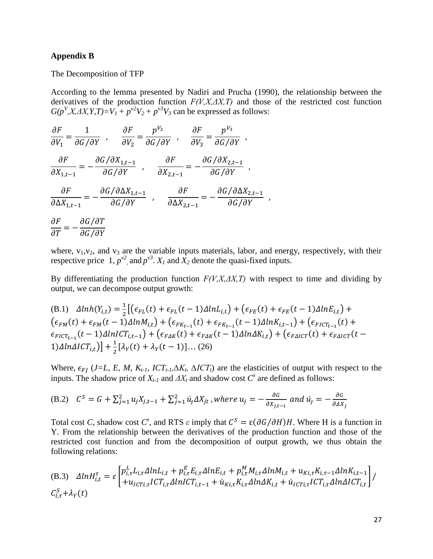#### **Appendix B**

The Decomposition of TFP

According to the lemma presented by [Nadiri and Prucha \(1990\),](#page-23-3) the relationship between the derivatives of the production function  $F(V, X, \Delta X, T)$  and those of the restricted cost function  $G(p^V, X, \Delta X, Y, T) = V_1 + p^{V^2}V_2 + p^{V^3}V_3$  can be expressed as follows:

$$
\frac{\partial F}{\partial V_1} = \frac{1}{\partial G/\partial Y} , \quad \frac{\partial F}{\partial V_2} = \frac{p^{V_2}}{\partial G/\partial Y} , \quad \frac{\partial F}{\partial V_3} = \frac{p^{V_3}}{\partial G/\partial Y} ,
$$
  

$$
\frac{\partial F}{\partial X_{1,t-1}} = -\frac{\partial G/\partial X_{1,t-1}}{\partial G/\partial Y} , \quad \frac{\partial F}{\partial X_{2,t-1}} = -\frac{\partial G/\partial X_{2,t-1}}{\partial G/\partial Y} ,
$$
  

$$
\frac{\partial F}{\partial \Delta X_{1,t-1}} = -\frac{\partial G/\partial \Delta X_{1,t-1}}{\partial G/\partial Y} , \quad \frac{\partial F}{\partial \Delta X_{2,t-1}} = -\frac{\partial G/\partial \Delta X_{2,t-1}}{\partial G/\partial Y} ,
$$
  

$$
\frac{\partial F}{\partial T} = -\frac{\partial G/\partial T}{\partial G/\partial Y}
$$

where,  $v_1, v_2$ , and  $v_3$  are the variable inputs materials, labor, and energy, respectively, with their respective price 1,  $p^{\nu^2}$ , and  $p^{\nu^3}$ .  $X_I$  and  $X_2$  denote the quasi-fixed inputs.

By differentiating the production function  $F(V, X, \Delta X, T)$  with respect to time and dividing by output, we can decompose output growth:

(B.1) 
$$
\Delta ln h(Y_{i,t}) = \frac{1}{2} \left[ (\epsilon_{FL}(t) + \epsilon_{FL}(t-1)\Delta ln L_{i,t}) + (\epsilon_{FE}(t) + \epsilon_{FE}(t-1)\Delta ln E_{i,t}) + (\epsilon_{FM}(t) + \epsilon_{FM}(t-1)\Delta ln M_{i,t}) + (\epsilon_{FK_{t-1}}(t) + \epsilon_{FK_{t-1}}(t-1)\Delta ln K_{i,t-1}) + (\epsilon_{FICT_{t-1}}(t) + \epsilon_{FICT_{t-1}}(t-1)\Delta ln ICT_{i,t-1}) + (\epsilon_{FAK}(t) + \epsilon_{FAK}(t-1)\Delta ln \Delta K_{i,t}) + (\epsilon_{FAICT}(t) + \epsilon_{FAICT}(t-1)\Delta ln \Delta ICT_{i,t}) \right] + \frac{1}{2} [\lambda_Y(t) + \lambda_Y(t-1)] \dots (26)
$$

Where,  $\epsilon_{FI}$  (*J=L, E, M, K<sub>t-1</sub>, ICT<sub>t-1</sub>,* $\Delta K_t$ ,  $\Delta ICT_t$ ) are the elasticities of output with respect to the inputs. The shadow price of  $X_{t-1}$  and  $\Delta X_t$  and shadow cost  $C^s$  are defined as follows:

(B.2) 
$$
C^S = G + \sum_{j=1}^2 u_j X_{j,t-1} + \sum_{j=1}^2 u_j \Delta X_{jt}
$$
, where  $u_j = -\frac{\partial G}{\partial X_{j,t-1}}$  and  $u_j = -\frac{\partial G}{\partial \Delta X_j}$ 

Total cost *C*, shadow cost *C*<sup>*s*</sup>, and RTS  $\varepsilon$  imply that  $C^S = \varepsilon(\partial G/\partial H)H$ . Where H is a function in Y. From the relationship between the derivatives of the production function and those of the restricted cost function and from the decomposition of output growth, we thus obtain the following relations:

(B.3) 
$$
\Delta ln H_{i,t}^{\tau} = \varepsilon \begin{bmatrix} p_{i,\tau}^L L_{i,\tau} \Delta ln L_{i,t} + p_{i,\tau}^E E_{i,\tau} \Delta ln E_{i,t} + p_{i,\tau}^M M_{i,\tau} \Delta ln M_{i,t} + u_{Ki,\tau} K_{i,\tau-1} \Delta ln K_{i,t-1} \\ + u_{ICTi,\tau} ICT_{i,\tau} \Delta ln ICT_{i,t-1} + u_{Ki,\tau} K_{i,\tau} \Delta ln \Delta K_{i,t} + u_{ICTi,\tau} ICT_{i,\tau} \Delta ln \Delta ICT_{i,t} \end{bmatrix} / C_{i,\tau}^S + \lambda_Y(t)
$$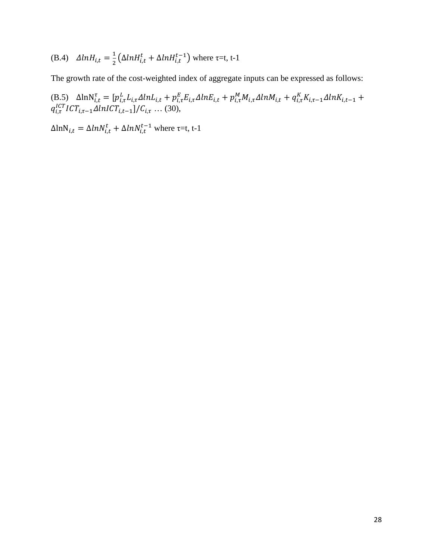(B.4) 
$$
\Delta ln H_{i,t} = \frac{1}{2} (\Delta ln H_{i,t}^t + \Delta ln H_{i,t}^{t-1})
$$
 where  $\tau$ =t, t-1

The growth rate of the cost-weighted index of aggregate inputs can be expressed as follows:

(B.5) 
$$
\Delta \ln N_{i,t}^{\tau} = [p_{i,\tau}^L L_{i,\tau} \Delta \ln L_{i,t} + p_{i,\tau}^E E_{i,\tau} \Delta \ln E_{i,t} + p_{i,\tau}^M M_{i,\tau} \Delta \ln M_{i,t} + q_{i,\tau}^K K_{i,\tau-1} \Delta \ln K_{i,t-1} + q_{i,\tau}^{ICT} ICT_{i,\tau-1} \Delta \ln ICT_{i,t-1}]/C_{i,\tau} \dots (30),
$$

 $\Delta \ln N_{i,t} = \Delta \ln N_{i,t}^t + \Delta \ln N_{i,t}^{t-1}$  where  $\tau = t$ , t-1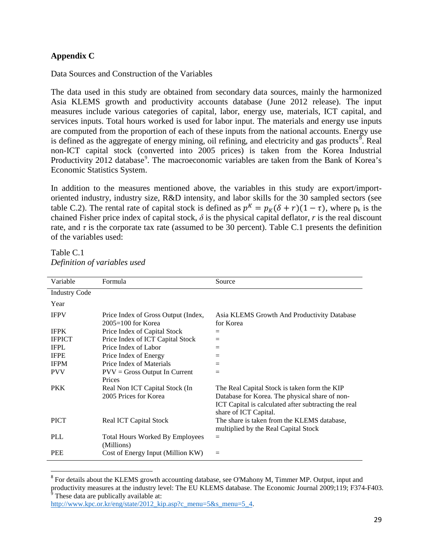## **Appendix C**

Data Sources and Construction of the Variables

The data used in this study are obtained from secondary data sources, mainly the harmonized Asia KLEMS growth and productivity accounts database (June 2012 release). The input measures include various categories of capital, labor, energy use, materials, ICT capital, and services inputs. Total hours worked is used for labor input. The materials and energy use inputs are computed from the proportion of each of these inputs from the national accounts. Energy use is defined as the aggregate of energy mining, oil refining, and electricity and gas products<sup>[8](#page-16-0)</sup>. Real non-ICT capital stock (converted into 2005 prices) is taken from the Korea Industrial Productivity 2012 database<sup>[9](#page-30-0)</sup>. The macroeconomic variables are taken from the Bank of Korea's Economic Statistics System.

In addition to the measures mentioned above, the variables in this study are export/importoriented industry, industry size, R&D intensity, and labor skills for the 30 sampled sectors (see table C.2). The rental rate of capital stock is defined as  $p^{K} = p_{K}(\delta + r)(1 - \tau)$ , where  $p_{k}$  is the chained Fisher price index of capital stock,  $\delta$  is the physical capital deflator, *r* is the real discount rate, and  $\tau$  is the corporate tax rate (assumed to be 30 percent). Table C.1 presents the definition of the variables used:

| Variable             | Formula                                                       | Source                                                                                                                                                                          |
|----------------------|---------------------------------------------------------------|---------------------------------------------------------------------------------------------------------------------------------------------------------------------------------|
| <b>Industry Code</b> |                                                               |                                                                                                                                                                                 |
| Year                 |                                                               |                                                                                                                                                                                 |
| <b>IFPV</b>          | Price Index of Gross Output (Index,<br>$2005 = 100$ for Korea | Asia KLEMS Growth And Productivity Database<br>for Korea                                                                                                                        |
| <b>IFPK</b>          | Price Index of Capital Stock                                  | $=$                                                                                                                                                                             |
| <b>IFPICT</b>        | Price Index of ICT Capital Stock                              | $=$                                                                                                                                                                             |
| <b>IFPL</b>          | Price Index of Labor                                          | $=$                                                                                                                                                                             |
| <b>IFPE</b>          | Price Index of Energy                                         | $=$                                                                                                                                                                             |
| <b>IFPM</b>          | Price Index of Materials                                      | $=$                                                                                                                                                                             |
| <b>PVV</b>           | $PVV = Gross$ Output In Current<br>Prices                     | $=$                                                                                                                                                                             |
| <b>PKK</b>           | Real Non ICT Capital Stock (In<br>2005 Prices for Korea       | The Real Capital Stock is taken form the KIP<br>Database for Korea. The physical share of non-<br>ICT Capital is calculated after subtracting the real<br>share of ICT Capital. |
| <b>PICT</b>          | Real ICT Capital Stock                                        | The share is taken from the KLEMS database,<br>multiplied by the Real Capital Stock                                                                                             |
| <b>PLL</b>           | <b>Total Hours Worked By Employees</b><br>(Millions)          | $=$                                                                                                                                                                             |
| <b>PEE</b>           | Cost of Energy Input (Million KW)                             | $=$                                                                                                                                                                             |

## Table C.1 *Definition of variables used*

<span id="page-30-0"></span>[http://www.kpc.or.kr/eng/state/2012\\_kip.asp?c\\_menu=5&s\\_menu=5\\_4.](http://www.kpc.or.kr/eng/state/2012_kip.asp?c_menu=5&s_menu=5_4)

<sup>&</sup>lt;sup>8</sup> For details about the KLEMS growth accounting database, see O'Mahony M, Timmer MP. Output, input and productivity measures at the industry level: The EU KLEMS database. The Economic Journal 2009;119; F374-F403.<br><sup>9</sup> These data are publically available at: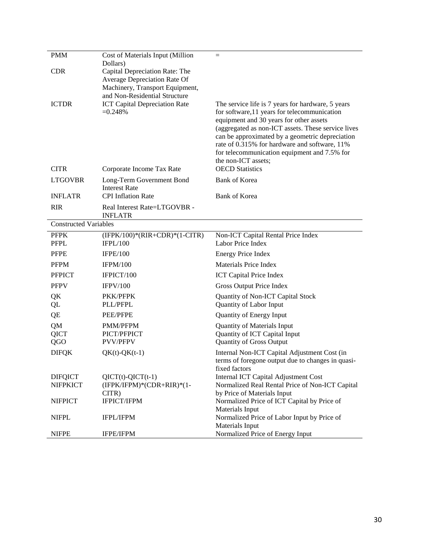| <b>PMM</b>                        | Cost of Materials Input (Million                                                                              | $=$                                                                                                                                                                                                                                                                                                                                                                           |
|-----------------------------------|---------------------------------------------------------------------------------------------------------------|-------------------------------------------------------------------------------------------------------------------------------------------------------------------------------------------------------------------------------------------------------------------------------------------------------------------------------------------------------------------------------|
| <b>CDR</b>                        | Dollars)<br>Capital Depreciation Rate: The<br>Average Depreciation Rate Of<br>Machinery, Transport Equipment, |                                                                                                                                                                                                                                                                                                                                                                               |
| <b>ICTDR</b>                      | and Non-Residential Structure<br><b>ICT Capital Depreciation Rate</b><br>$=0.248%$                            | The service life is 7 years for hardware, 5 years<br>for software, 11 years for telecommunication<br>equipment and 30 years for other assets<br>(aggregated as non-ICT assets. These service lives<br>can be approximated by a geometric depreciation<br>rate of 0.315% for hardware and software, 11%<br>for telecommunication equipment and 7.5% for<br>the non-ICT assets; |
| <b>CITR</b>                       | Corporate Income Tax Rate                                                                                     | <b>OECD</b> Statistics                                                                                                                                                                                                                                                                                                                                                        |
| <b>LTGOVBR</b>                    | Long-Term Government Bond<br><b>Interest Rate</b>                                                             | <b>Bank of Korea</b>                                                                                                                                                                                                                                                                                                                                                          |
| <b>INFLATR</b>                    | <b>CPI</b> Inflation Rate                                                                                     | <b>Bank of Korea</b>                                                                                                                                                                                                                                                                                                                                                          |
| <b>RIR</b>                        | Real Interest Rate=LTGOVBR -<br><b>INFLATR</b>                                                                |                                                                                                                                                                                                                                                                                                                                                                               |
| <b>Constructed Variables</b>      |                                                                                                               |                                                                                                                                                                                                                                                                                                                                                                               |
| <b>PFPK</b><br><b>PFPL</b>        | $(IFPK/100)*(RIR+CDR)*(1-CITR)$<br><b>IFPL/100</b>                                                            | Non-ICT Capital Rental Price Index<br>Labor Price Index                                                                                                                                                                                                                                                                                                                       |
| <b>PFPE</b>                       | <b>IFPE/100</b>                                                                                               | <b>Energy Price Index</b>                                                                                                                                                                                                                                                                                                                                                     |
| <b>PFPM</b>                       | <b>IFPM/100</b>                                                                                               | <b>Materials Price Index</b>                                                                                                                                                                                                                                                                                                                                                  |
| <b>PFPICT</b>                     | IFPICT/100                                                                                                    | <b>ICT Capital Price Index</b>                                                                                                                                                                                                                                                                                                                                                |
| <b>PFPV</b>                       | <b>IFPV/100</b>                                                                                               | Gross Output Price Index                                                                                                                                                                                                                                                                                                                                                      |
| QK<br>QL                          | PKK/PFPK<br>PLL/PFPL                                                                                          | Quantity of Non-ICT Capital Stock<br>Quantity of Labor Input                                                                                                                                                                                                                                                                                                                  |
| QE                                | PEE/PFPE                                                                                                      | <b>Quantity of Energy Input</b>                                                                                                                                                                                                                                                                                                                                               |
| QM                                | PMM/PFPM                                                                                                      | <b>Quantity of Materials Input</b>                                                                                                                                                                                                                                                                                                                                            |
| <b>QICT</b><br>QGO                | PICT/PFPICT<br><b>PVV/PFPV</b>                                                                                | Quantity of ICT Capital Input<br><b>Quantity of Gross Output</b>                                                                                                                                                                                                                                                                                                              |
| <b>DIFQK</b>                      | $QK(t)$ - $QK(t-1)$                                                                                           | Internal Non-ICT Capital Adjustment Cost (in                                                                                                                                                                                                                                                                                                                                  |
|                                   |                                                                                                               | terms of foregone output due to changes in quasi-<br>fixed factors                                                                                                                                                                                                                                                                                                            |
| <b>DIFQICT</b><br><b>NIFPKICT</b> | $QICT(t)-QICT(t-1)$<br>(IFPK/IFPM)*(CDR+RIR)*(1-<br>CITR)                                                     | Internal ICT Capital Adjustment Cost<br>Normalized Real Rental Price of Non-ICT Capital<br>by Price of Materials Input                                                                                                                                                                                                                                                        |
| <b>NIFPICT</b>                    | <b>IFPICT/IFPM</b>                                                                                            | Normalized Price of ICT Capital by Price of<br>Materials Input                                                                                                                                                                                                                                                                                                                |
| <b>NIFPL</b>                      | IFPL/IFPM                                                                                                     | Normalized Price of Labor Input by Price of<br>Materials Input                                                                                                                                                                                                                                                                                                                |
| <b>NIFPE</b>                      | IFPE/IFPM                                                                                                     | Normalized Price of Energy Input                                                                                                                                                                                                                                                                                                                                              |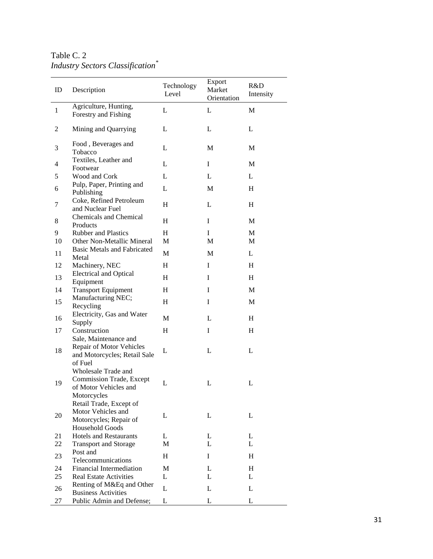#### Table C. 2 *Industry Sectors Classification \**

| ID           | Description                                                                                                        | Technology<br>Level | Export<br>Market<br>Orientation | R&D<br>Intensity |  |
|--------------|--------------------------------------------------------------------------------------------------------------------|---------------------|---------------------------------|------------------|--|
|              | Agriculture, Hunting,                                                                                              | L                   | L                               | $\mathbf M$      |  |
| $\mathbf{1}$ | Forestry and Fishing                                                                                               |                     |                                 |                  |  |
| 2            | Mining and Quarrying                                                                                               | L                   | L                               | L                |  |
| 3            | Food, Beverages and<br>Tobacco                                                                                     | L                   | M                               | M                |  |
| 4            | Textiles, Leather and<br>Footwear                                                                                  | L                   | $\bf{I}$                        | M                |  |
| 5            | Wood and Cork                                                                                                      | L                   | L                               | L                |  |
| 6            | Pulp, Paper, Printing and<br>Publishing                                                                            | L                   | M                               | Η                |  |
| 7            | Coke, Refined Petroleum<br>and Nuclear Fuel                                                                        | H                   | L                               | Η                |  |
| 8            | Chemicals and Chemical<br>Products                                                                                 | Η                   | I                               | M                |  |
| 9            | <b>Rubber and Plastics</b>                                                                                         | H                   | I                               | M                |  |
| 10           | Other Non-Metallic Mineral                                                                                         | M                   | M                               | M                |  |
| 11           | Basic Metals and Fabricated<br>Metal                                                                               | M                   | M                               | L                |  |
| 12           | Machinery, NEC                                                                                                     | Η                   | I                               | H                |  |
| 13           | <b>Electrical and Optical</b><br>Equipment                                                                         | H                   | I                               | H                |  |
| 14           | <b>Transport Equipment</b>                                                                                         | Η                   | I                               | M                |  |
|              | Manufacturing NEC;                                                                                                 |                     |                                 |                  |  |
| 15           | Recycling                                                                                                          | H                   | $\bf{I}$                        | M                |  |
| 16           | Electricity, Gas and Water<br>Supply                                                                               | M                   | L                               | H                |  |
| 17           | Construction                                                                                                       | Η                   | I                               | H                |  |
| 18           | Sale, Maintenance and<br><b>Repair of Motor Vehicles</b><br>and Motorcycles; Retail Sale<br>of Fuel                | L                   | L                               | L                |  |
| 19           | Wholesale Trade and<br>Commission Trade, Except<br>of Motor Vehicles and<br>Motorcycles<br>Retail Trade, Except of | L                   | L                               | L                |  |
| 20           | Motor Vehicles and<br>Motorcycles; Repair of<br><b>Household Goods</b>                                             | L                   | L                               | L                |  |
| 21           | <b>Hotels and Restaurants</b>                                                                                      | L                   | L                               | L                |  |
| 22           | <b>Transport and Storage</b>                                                                                       | M                   | L                               | L                |  |
|              | Post and                                                                                                           |                     |                                 |                  |  |
| 23           | Telecommunications                                                                                                 | H                   | I                               | H                |  |
| 24           | Financial Intermediation                                                                                           | М                   | L                               | H                |  |
| 25           | <b>Real Estate Activities</b>                                                                                      | L                   | L                               | L                |  |
| 26           | Renting of M&Eq and Other<br><b>Business Activities</b>                                                            | L                   | L                               | L                |  |
| 27           | Public Admin and Defense;                                                                                          | L                   | L                               | L                |  |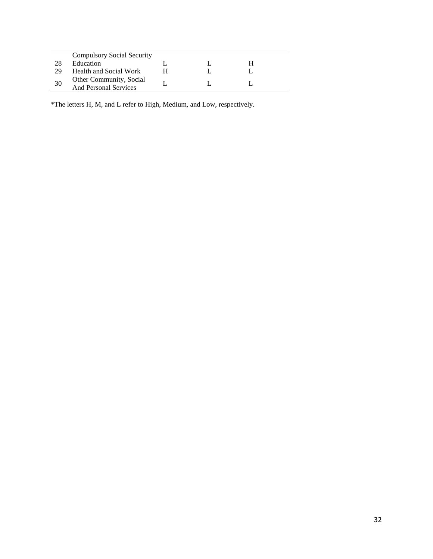|    | <b>Compulsory Social Security</b>                |  |   |  |
|----|--------------------------------------------------|--|---|--|
| 28 | Education                                        |  | н |  |
| 29 | <b>Health and Social Work</b>                    |  |   |  |
| 30 | Other Community, Social<br>And Personal Services |  |   |  |

\*The letters H, M, and L refer to High, Medium, and Low, respectively.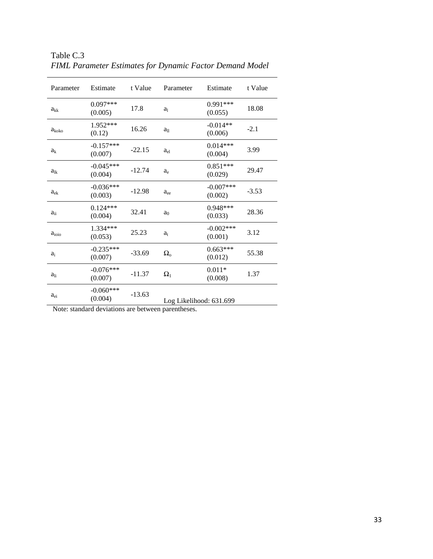| Parameter      | Estimate               | t Value  | Parameter               | Estimate               | t Value |
|----------------|------------------------|----------|-------------------------|------------------------|---------|
| $a_{kk}$       | $0.097***$<br>(0.005)  | 17.8     | a <sub>1</sub>          | $0.991***$<br>(0.055)  | 18.08   |
| $a_{koko}$     | 1.952***<br>(0.12)     | 16.26    | $a_{11}$                | $-0.014**$<br>(0.006)  | $-2.1$  |
| a <sub>k</sub> | $-0.157***$<br>(0.007) | $-22.15$ | a <sub>el</sub>         | $0.014***$<br>(0.004)  | 3.99    |
| $a_{lk}$       | $-0.045***$<br>(0.004) | $-12.74$ | $a_e$                   | $0.851***$<br>(0.029)  | 29.47   |
| $a_{ek}$       | $-0.036***$<br>(0.003) | $-12.98$ | $a_{ee}$                | $-0.007***$<br>(0.002) | $-3.53$ |
| $a_{ii}$       | $0.124***$<br>(0.004)  | 32.41    | a <sub>0</sub>          | 0.948***<br>(0.033)    | 28.36   |
| $a_{ioio}$     | 1.334***<br>(0.053)    | 25.23    | $a_{t}$                 | $-0.002***$<br>(0.001) | 3.12    |
| $a_i$          | $-0.235***$<br>(0.007) | $-33.69$ | $\Omega_{o}$            | $0.663***$<br>(0.012)  | 55.38   |
| $a_{li}$       | $-0.076***$<br>(0.007) | $-11.37$ | $\Omega_1$              | $0.011*$<br>(0.008)    | 1.37    |
| $a_{ei}$       | $-0.060***$<br>(0.004) | $-13.63$ | Log Likelihood: 631.699 |                        |         |

Table C.3 *FIML Parameter Estimates for Dynamic Factor Demand Model*

Note: standard deviations are between parentheses.